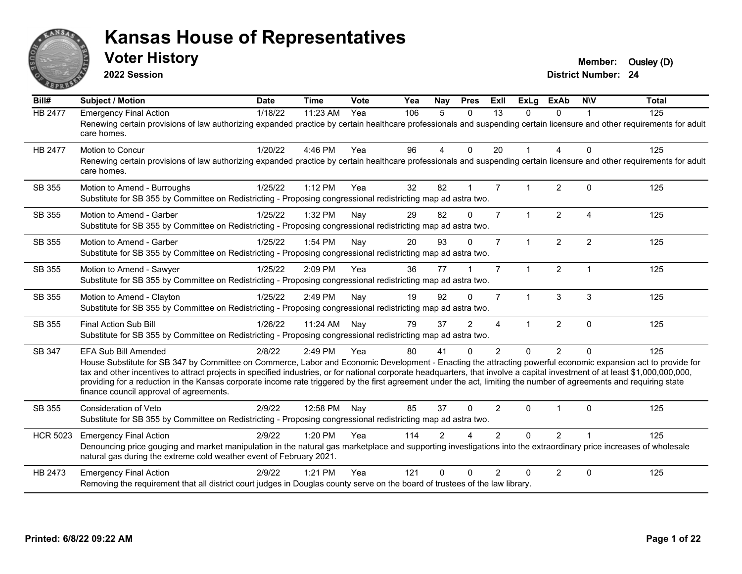

**2022 Session**

**Voter History Member:** Ousley (D)

| Bill#           | Subject / Motion                                                                                                                                                                                                                                                                                                                                                                                                                                                                                                                                                                                   | <b>Date</b> | <b>Time</b> | Vote | Yea | <b>Nay</b>     | <b>Pres</b>    | ExII           | <b>ExLg</b>          | ExAb           | <b>NIV</b>     | <b>Total</b> |
|-----------------|----------------------------------------------------------------------------------------------------------------------------------------------------------------------------------------------------------------------------------------------------------------------------------------------------------------------------------------------------------------------------------------------------------------------------------------------------------------------------------------------------------------------------------------------------------------------------------------------------|-------------|-------------|------|-----|----------------|----------------|----------------|----------------------|----------------|----------------|--------------|
| HB 2477         | <b>Emergency Final Action</b><br>Renewing certain provisions of law authorizing expanded practice by certain healthcare professionals and suspending certain licensure and other requirements for adult<br>care homes.                                                                                                                                                                                                                                                                                                                                                                             | 1/18/22     | 11:23 AM    | Yea  | 106 | 5              | $\mathbf{0}$   | 13             | $\Omega$             | $\Omega$       | -1             | 125          |
| <b>HB 2477</b>  | Motion to Concur<br>Renewing certain provisions of law authorizing expanded practice by certain healthcare professionals and suspending certain licensure and other requirements for adult<br>care homes.                                                                                                                                                                                                                                                                                                                                                                                          | 1/20/22     | 4:46 PM     | Yea  | 96  | 4              | $\Omega$       | 20             | $\blacktriangleleft$ | 4              | $\Omega$       | 125          |
| SB 355          | Motion to Amend - Burroughs<br>Substitute for SB 355 by Committee on Redistricting - Proposing congressional redistricting map ad astra two.                                                                                                                                                                                                                                                                                                                                                                                                                                                       | 1/25/22     | 1:12 PM     | Yea  | 32  | 82             |                | $\overline{7}$ |                      | 2              | $\mathbf{0}$   | 125          |
| SB 355          | Motion to Amend - Garber<br>Substitute for SB 355 by Committee on Redistricting - Proposing congressional redistricting map ad astra two.                                                                                                                                                                                                                                                                                                                                                                                                                                                          | 1/25/22     | 1:32 PM     | Nay  | 29  | 82             | $\mathbf 0$    | $\overline{7}$ | $\mathbf{1}$         | $\overline{2}$ | $\overline{4}$ | 125          |
| SB 355          | Motion to Amend - Garber<br>Substitute for SB 355 by Committee on Redistricting - Proposing congressional redistricting map ad astra two.                                                                                                                                                                                                                                                                                                                                                                                                                                                          | 1/25/22     | 1:54 PM     | Nay  | 20  | 93             | $\Omega$       | $\overline{7}$ | $\mathbf{1}$         | $\overline{2}$ | 2              | 125          |
| SB 355          | Motion to Amend - Sawyer<br>Substitute for SB 355 by Committee on Redistricting - Proposing congressional redistricting map ad astra two.                                                                                                                                                                                                                                                                                                                                                                                                                                                          | 1/25/22     | 2:09 PM     | Yea  | 36  | 77             |                | $\overline{7}$ | $\mathbf{1}$         | $\overline{2}$ | $\overline{1}$ | 125          |
| SB 355          | Motion to Amend - Clayton<br>Substitute for SB 355 by Committee on Redistricting - Proposing congressional redistricting map ad astra two.                                                                                                                                                                                                                                                                                                                                                                                                                                                         | 1/25/22     | 2:49 PM     | Nay  | 19  | 92             | $\Omega$       | $\overline{7}$ | $\mathbf{1}$         | 3              | 3              | 125          |
| SB 355          | <b>Final Action Sub Bill</b><br>Substitute for SB 355 by Committee on Redistricting - Proposing congressional redistricting map ad astra two.                                                                                                                                                                                                                                                                                                                                                                                                                                                      | 1/26/22     | 11:24 AM    | Nay  | 79  | 37             | $\mathfrak{p}$ | 4              | $\blacktriangleleft$ | $\overline{2}$ | $\Omega$       | 125          |
| SB 347          | <b>EFA Sub Bill Amended</b><br>House Substitute for SB 347 by Committee on Commerce, Labor and Economic Development - Enacting the attracting powerful economic expansion act to provide for<br>tax and other incentives to attract projects in specified industries, or for national corporate headquarters, that involve a capital investment of at least \$1,000,000,000,000,<br>providing for a reduction in the Kansas corporate income rate triggered by the first agreement under the act, limiting the number of agreements and requiring state<br>finance council approval of agreements. | 2/8/22      | 2:49 PM     | Yea  | 80  | 41             | $\Omega$       | $\overline{2}$ | $\Omega$             | $\overline{2}$ | $\Omega$       | 125          |
| SB 355          | Consideration of Veto<br>Substitute for SB 355 by Committee on Redistricting - Proposing congressional redistricting map ad astra two.                                                                                                                                                                                                                                                                                                                                                                                                                                                             | 2/9/22      | 12:58 PM    | Nay  | 85  | 37             | $\Omega$       | $\overline{2}$ | $\Omega$             | -1             | $\Omega$       | 125          |
| <b>HCR 5023</b> | <b>Emergency Final Action</b><br>Denouncing price gouging and market manipulation in the natural gas marketplace and supporting investigations into the extraordinary price increases of wholesale<br>natural gas during the extreme cold weather event of February 2021.                                                                                                                                                                                                                                                                                                                          | 2/9/22      | 1:20 PM     | Yea  | 114 | $\mathfrak{p}$ |                | $\mathcal{P}$  | $\Omega$             | $\overline{2}$ |                | 125          |
| HB 2473         | <b>Emergency Final Action</b><br>Removing the requirement that all district court judges in Douglas county serve on the board of trustees of the law library.                                                                                                                                                                                                                                                                                                                                                                                                                                      | 2/9/22      | 1:21 PM     | Yea  | 121 | $\Omega$       | $\Omega$       | $\mathcal{P}$  | $\Omega$             | $\overline{2}$ | $\Omega$       | 125          |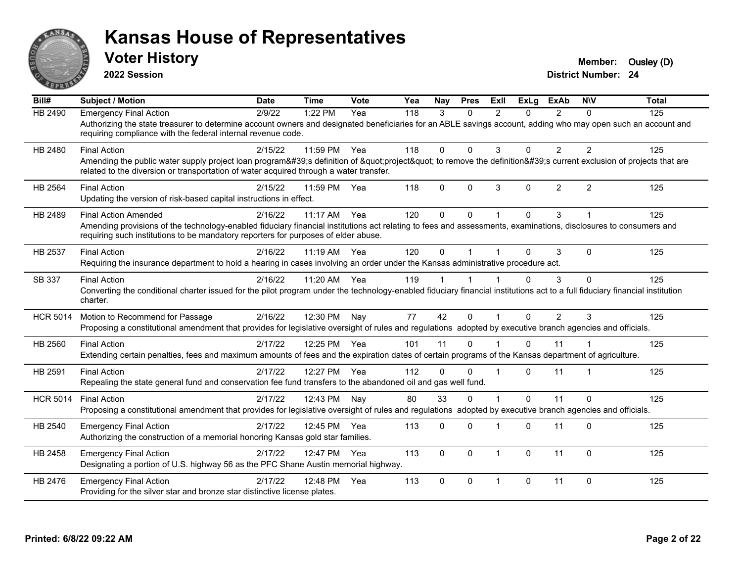

**2022 Session**

**Voter History Member:** Ousley (D)

| $\overline{BiII#}$ | <b>Subject / Motion</b>                                                                                                                                                                                                                                                              | <b>Date</b> | <b>Time</b>  | Vote | Yea | Nay          | <b>Pres</b>  | ExII           | <b>ExLg</b>  | <b>ExAb</b>    | <b>NIV</b>     | <b>Total</b> |
|--------------------|--------------------------------------------------------------------------------------------------------------------------------------------------------------------------------------------------------------------------------------------------------------------------------------|-------------|--------------|------|-----|--------------|--------------|----------------|--------------|----------------|----------------|--------------|
| <b>HB 2490</b>     | <b>Emergency Final Action</b><br>Authorizing the state treasurer to determine account owners and designated beneficiaries for an ABLE savings account, adding who may open such an account and<br>requiring compliance with the federal internal revenue code.                       | 2/9/22      | 1:22 PM      | Yea  | 118 | 3            | $\Omega$     | $\overline{2}$ | 0            | 2              | $\Omega$       | 125          |
| HB 2480            | <b>Final Action</b><br>Amending the public water supply project loan program's definition of "project" to remove the definition's current exclusion of projects that are<br>related to the diversion or transportation of water acquired through a water transfer.                   | 2/15/22     | 11:59 PM     | Yea  | 118 | $\Omega$     | $\mathbf{0}$ | 3              | 0            | $\overline{2}$ | $\overline{2}$ | 125          |
| HB 2564            | <b>Final Action</b><br>Updating the version of risk-based capital instructions in effect.                                                                                                                                                                                            | 2/15/22     | 11:59 PM     | Yea  | 118 | $\mathbf{0}$ | $\mathbf{0}$ | 3              | 0            | $\overline{2}$ | $\overline{2}$ | 125          |
| HB 2489            | <b>Final Action Amended</b><br>Amending provisions of the technology-enabled fiduciary financial institutions act relating to fees and assessments, examinations, disclosures to consumers and<br>requiring such institutions to be mandatory reporters for purposes of elder abuse. | 2/16/22     | 11:17 AM     | Yea  | 120 | $\mathbf{0}$ | $\Omega$     | 1              | 0            | 3              |                | 125          |
| HB 2537            | <b>Final Action</b><br>Requiring the insurance department to hold a hearing in cases involving an order under the Kansas administrative procedure act.                                                                                                                               | 2/16/22     | 11:19 AM     | Yea  | 120 | $\mathbf{0}$ |              |                | $\Omega$     | 3              | $\Omega$       | 125          |
| SB 337             | <b>Final Action</b><br>Converting the conditional charter issued for the pilot program under the technology-enabled fiduciary financial institutions act to a full fiduciary financial institution<br>charter.                                                                       | 2/16/22     | 11:20 AM Yea |      | 119 |              |              |                | $\Omega$     | 3              | $\Omega$       | 125          |
| <b>HCR 5014</b>    | Motion to Recommend for Passage<br>Proposing a constitutional amendment that provides for legislative oversight of rules and regulations adopted by executive branch agencies and officials.                                                                                         | 2/16/22     | 12:30 PM     | Nay  | 77  | 42           | $\Omega$     | $\overline{1}$ | $\Omega$     | 2              | 3              | 125          |
| HB 2560            | <b>Final Action</b><br>Extending certain penalties, fees and maximum amounts of fees and the expiration dates of certain programs of the Kansas department of agriculture.                                                                                                           | 2/17/22     | 12:25 PM Yea |      | 101 | 11           | $\Omega$     |                | $\Omega$     | 11             |                | 125          |
| HB 2591            | <b>Final Action</b><br>Repealing the state general fund and conservation fee fund transfers to the abandoned oil and gas well fund.                                                                                                                                                  | 2/17/22     | 12:27 PM Yea |      | 112 | $\Omega$     | $\Omega$     | 1              | $\Omega$     | 11             |                | 125          |
| <b>HCR 5014</b>    | <b>Final Action</b><br>Proposing a constitutional amendment that provides for legislative oversight of rules and regulations adopted by executive branch agencies and officials.                                                                                                     | 2/17/22     | 12:43 PM     | Nav  | 80  | 33           | $\mathbf{0}$ | $\mathbf 1$    | $\Omega$     | 11             | $\Omega$       | 125          |
| HB 2540            | <b>Emergency Final Action</b><br>Authorizing the construction of a memorial honoring Kansas gold star families.                                                                                                                                                                      | 2/17/22     | 12:45 PM Yea |      | 113 | $\Omega$     | $\Omega$     | 1              | $\Omega$     | 11             | $\Omega$       | 125          |
| HB 2458            | <b>Emergency Final Action</b><br>Designating a portion of U.S. highway 56 as the PFC Shane Austin memorial highway.                                                                                                                                                                  | 2/17/22     | 12:47 PM Yea |      | 113 | $\mathbf{0}$ | $\mathbf{0}$ | $\mathbf{1}$   | $\mathbf{0}$ | 11             | $\Omega$       | 125          |
| HB 2476            | <b>Emergency Final Action</b><br>Providing for the silver star and bronze star distinctive license plates.                                                                                                                                                                           | 2/17/22     | 12:48 PM     | Yea  | 113 | $\mathbf{0}$ | $\Omega$     | $\mathbf{1}$   | 0            | 11             | $\Omega$       | 125          |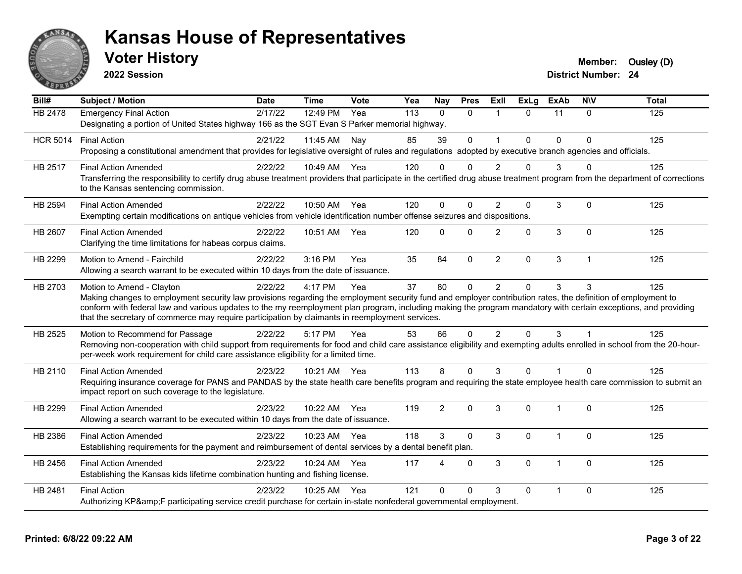

**2022 Session**

**District Number: 24 Voter History Member:** Ousley (D)

**Bill# Subject / Motion Date Time Vote Yea Nay Pres Exll ExLg ExAb N\V Total** HB 2478 Emergency Final Action 2/17/22 12:49 PM Yea 113 0 0 1 0 11 0 125 Designating a portion of United States highway 166 as the SGT Evan S Parker memorial highway.

|                | HCR 5014 Final Action<br>Proposing a constitutional amendment that provides for legislative oversight of rules and regulations adopted by executive branch agencies and officials.                                                                                                                                                                                                                                                                              | 2/21/22 | 11:45 AM     | Nay | 85  | 39             | $\Omega$ |                | $\Omega$     | <sup>0</sup> | $\Omega$    | 125 |
|----------------|-----------------------------------------------------------------------------------------------------------------------------------------------------------------------------------------------------------------------------------------------------------------------------------------------------------------------------------------------------------------------------------------------------------------------------------------------------------------|---------|--------------|-----|-----|----------------|----------|----------------|--------------|--------------|-------------|-----|
| HB 2517        | <b>Final Action Amended</b><br>Transferring the responsibility to certify drug abuse treatment providers that participate in the certified drug abuse treatment program from the department of corrections<br>to the Kansas sentencing commission.                                                                                                                                                                                                              | 2/22/22 | 10:49 AM Yea |     | 120 |                | 0        | 2              | 0            | 3            | 0           | 125 |
| HB 2594        | <b>Final Action Amended</b><br>Exempting certain modifications on antique vehicles from vehicle identification number offense seizures and dispositions.                                                                                                                                                                                                                                                                                                        | 2/22/22 | 10:50 AM Yea |     | 120 | 0              | $\Omega$ | $\overline{2}$ | 0            | 3            | $\Omega$    | 125 |
| <b>HB 2607</b> | <b>Final Action Amended</b><br>Clarifying the time limitations for habeas corpus claims.                                                                                                                                                                                                                                                                                                                                                                        | 2/22/22 | 10:51 AM Yea |     | 120 | 0              | 0        | $\overline{2}$ | $\Omega$     | 3            | $\Omega$    | 125 |
| HB 2299        | Motion to Amend - Fairchild<br>Allowing a search warrant to be executed within 10 days from the date of issuance.                                                                                                                                                                                                                                                                                                                                               | 2/22/22 | $3:16$ PM    | Yea | 35  | 84             | $\Omega$ | 2              | $\Omega$     | 3            | $\mathbf 1$ | 125 |
| HB 2703        | Motion to Amend - Clayton<br>Making changes to employment security law provisions regarding the employment security fund and employer contribution rates, the definition of employment to<br>conform with federal law and various updates to the my reemployment plan program, including making the program mandatory with certain exceptions, and providing<br>that the secretary of commerce may require participation by claimants in reemployment services. | 2/22/22 | 4:17 PM      | Yea | 37  | 80             | $\Omega$ | $\overline{2}$ | $\Omega$     | 3            | 3           | 125 |
| HB 2525        | Motion to Recommend for Passage<br>Removing non-cooperation with child support from requirements for food and child care assistance eligibility and exempting adults enrolled in school from the 20-hour-<br>per-week work requirement for child care assistance eligibility for a limited time.                                                                                                                                                                | 2/22/22 | 5:17 PM      | Yea | 53  | 66             | $\Omega$ | $\mathcal{P}$  | $\Omega$     | 3            |             | 125 |
| HB 2110        | <b>Final Action Amended</b><br>Requiring insurance coverage for PANS and PANDAS by the state health care benefits program and requiring the state employee health care commission to submit an<br>impact report on such coverage to the legislature.                                                                                                                                                                                                            | 2/23/22 | 10:21 AM Yea |     | 113 | 8              | 0        | 3              | $\Omega$     |              | $\Omega$    | 125 |
| HB 2299        | <b>Final Action Amended</b><br>Allowing a search warrant to be executed within 10 days from the date of issuance.                                                                                                                                                                                                                                                                                                                                               | 2/23/22 | 10:22 AM Yea |     | 119 | $\overline{2}$ | $\Omega$ | 3              | $\mathbf{0}$ | 1            | $\Omega$    | 125 |
| HB 2386        | <b>Final Action Amended</b><br>Establishing requirements for the payment and reimbursement of dental services by a dental benefit plan.                                                                                                                                                                                                                                                                                                                         | 2/23/22 | 10:23 AM     | Yea | 118 | 3              | $\Omega$ | 3              | $\Omega$     | 1            | $\Omega$    | 125 |
| HB 2456        | <b>Final Action Amended</b><br>Establishing the Kansas kids lifetime combination hunting and fishing license.                                                                                                                                                                                                                                                                                                                                                   | 2/23/22 | 10:24 AM Yea |     | 117 | Δ              | $\Omega$ | 3              | $\Omega$     | 1            | $\Omega$    | 125 |
| HB 2481        | <b>Final Action</b><br>Authorizing KP&F participating service credit purchase for certain in-state nonfederal governmental employment.                                                                                                                                                                                                                                                                                                                          | 2/23/22 | 10:25 AM     | Yea | 121 | U              | U        | 3              | $\Omega$     |              | 0           | 125 |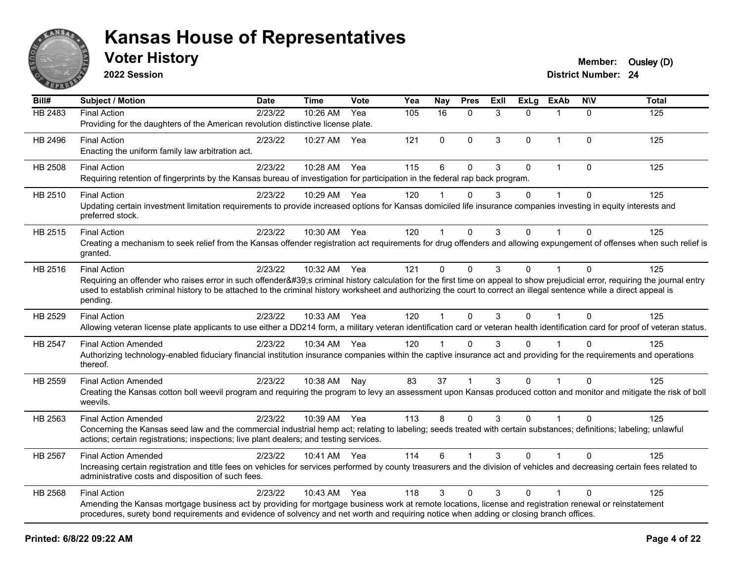

**2022 Session**

| $\overline{BiII#}$ | <b>Subject / Motion</b>                                                                                                                                                                                                                                                                                                                                                                | <b>Date</b> | <b>Time</b> | Vote  | Yea | Nay          | <b>Pres</b> | Exll | <b>ExLg</b> | <b>ExAb</b>  | <b>NIV</b>  | <b>Total</b> |
|--------------------|----------------------------------------------------------------------------------------------------------------------------------------------------------------------------------------------------------------------------------------------------------------------------------------------------------------------------------------------------------------------------------------|-------------|-------------|-------|-----|--------------|-------------|------|-------------|--------------|-------------|--------------|
| HB 2483            | <b>Final Action</b><br>Providing for the daughters of the American revolution distinctive license plate.                                                                                                                                                                                                                                                                               | 2/23/22     | 10:26 AM    | Yea   | 105 | 16           | $\Omega$    | 3    | 0           | 1            | $\Omega$    | 125          |
| HB 2496            | <b>Final Action</b><br>Enacting the uniform family law arbitration act.                                                                                                                                                                                                                                                                                                                | 2/23/22     | 10:27 AM    | Yea   | 121 | 0            | $\Omega$    | 3    | $\Omega$    | 1            | $\Omega$    | 125          |
| HB 2508            | <b>Final Action</b><br>Requiring retention of fingerprints by the Kansas bureau of investigation for participation in the federal rap back program.                                                                                                                                                                                                                                    | 2/23/22     | 10:28 AM    | Yea   | 115 | 6            | $\Omega$    | 3    | 0           | $\mathbf{1}$ | $\mathbf 0$ | 125          |
| HB 2510            | <b>Final Action</b><br>Updating certain investment limitation requirements to provide increased options for Kansas domiciled life insurance companies investing in equity interests and<br>preferred stock.                                                                                                                                                                            | 2/23/22     | 10:29 AM    | Yea   | 120 | 1            | $\Omega$    | 3    | 0           | 1            | $\Omega$    | 125          |
| HB 2515            | <b>Final Action</b><br>Creating a mechanism to seek relief from the Kansas offender registration act requirements for drug offenders and allowing expungement of offenses when such relief is<br>granted.                                                                                                                                                                              | 2/23/22     | 10:30 AM    | - Yea | 120 | 1            | $\Omega$    | 3    | 0           | 1            | $\Omega$    | 125          |
| HB 2516            | <b>Final Action</b><br>Requiring an offender who raises error in such offender's criminal history calculation for the first time on appeal to show prejudicial error, requiring the journal entry<br>used to establish criminal history to be attached to the criminal history worksheet and authorizing the court to correct an illegal sentence while a direct appeal is<br>pending. | 2/23/22     | 10:32 AM    | Yea   | 121 | 0            | $\mathbf 0$ | 3    | $\mathbf 0$ | $\mathbf{1}$ | $\mathbf 0$ | 125          |
| HB 2529            | <b>Final Action</b><br>Allowing veteran license plate applicants to use either a DD214 form, a military veteran identification card or veteran health identification card for proof of veteran status.                                                                                                                                                                                 | 2/23/22     | 10:33 AM    | Yea   | 120 | $\mathbf{1}$ | $\Omega$    | 3    | $\Omega$    | $\mathbf{1}$ | $\Omega$    | 125          |
| <b>HB 2547</b>     | <b>Final Action Amended</b><br>Authorizing technology-enabled fiduciary financial institution insurance companies within the captive insurance act and providing for the requirements and operations<br>thereof.                                                                                                                                                                       | 2/23/22     | 10:34 AM    | Yea   | 120 |              | $\Omega$    | 3    | 0           |              | $\Omega$    | 125          |
| HB 2559            | <b>Final Action Amended</b><br>Creating the Kansas cotton boll weevil program and requiring the program to levy an assessment upon Kansas produced cotton and monitor and mitigate the risk of boll<br>weevils.                                                                                                                                                                        | 2/23/22     | 10:38 AM    | Nay   | 83  | 37           |             | 3    | 0           |              | $\Omega$    | 125          |
| HB 2563            | <b>Final Action Amended</b><br>Concerning the Kansas seed law and the commercial industrial hemp act; relating to labeling; seeds treated with certain substances; definitions; labeling; unlawful<br>actions; certain registrations; inspections; live plant dealers; and testing services.                                                                                           | 2/23/22     | 10:39 AM    | Yea   | 113 | 8            | $\Omega$    | 3    | 0           |              | $\Omega$    | 125          |
| <b>HB 2567</b>     | <b>Final Action Amended</b><br>Increasing certain registration and title fees on vehicles for services performed by county treasurers and the division of vehicles and decreasing certain fees related to<br>administrative costs and disposition of such fees.                                                                                                                        | 2/23/22     | 10:41 AM    | Yea   | 114 | 6            | $\mathbf 1$ | 3    | $\Omega$    | $\mathbf{1}$ | $\Omega$    | 125          |
| HB 2568            | <b>Final Action</b><br>Amending the Kansas mortgage business act by providing for mortgage business work at remote locations, license and registration renewal or reinstatement<br>procedures, surety bond requirements and evidence of solvency and net worth and requiring notice when adding or closing branch offices.                                                             | 2/23/22     | 10:43 AM    | Yea   | 118 | 3            | $\Omega$    | 3    | 0           |              | $\Omega$    | 125          |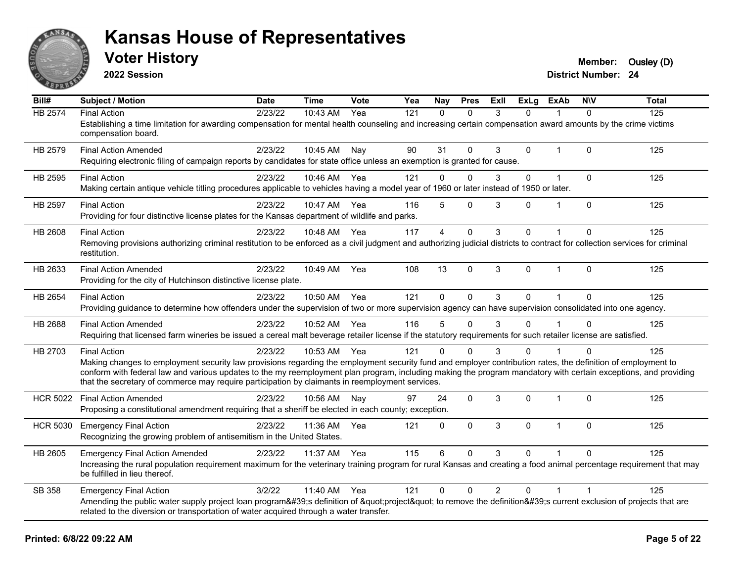

**2022 Session**

**District Number: 24 Voter History Member:** Ousley (D)

**Bill# Subject / Motion Date Time Vote Yea Nay Pres Exll ExLg ExAb N\V Total** HB 2574 Final Action 2/23/22 10:43 AM Yea 121 0 0 3 0 1 0 125 Establishing a time limitation for awarding compensation for mental health counseling and increasing certain compensation award amounts by the crime victims compensation board. HB 2579 Final Action Amended 2/23/22 10:45 AM Nay 90 31 0 3 0 1 0 125 Requiring electronic filing of campaign reports by candidates for state office unless an exemption is granted for cause. HB 2595 Final Action 2/23/22 10:46 AM Yea 121 0 0 3 0 1 0 125 Making certain antique vehicle titling procedures applicable to vehicles having a model year of 1960 or later instead of 1950 or later. HB 2597 Final Action 2/23/22 10:47 AM Yea 116 5 0 3 0 1 0 125 Providing for four distinctive license plates for the Kansas department of wildlife and parks. HB 2608 Final Action 2/23/22 10:48 AM Yea 117 4 0 3 0 1 0 125 Removing provisions authorizing criminal restitution to be enforced as a civil judgment and authorizing judicial districts to contract for collection services for criminal restitution. HB 2633 Final Action Amended 2/23/22 10:49 AM Yea 108 13 0 3 0 1 0 125 Providing for the city of Hutchinson distinctive license plate. HB 2654 Final Action 2/23/22 10:50 AM Yea 121 0 0 3 0 1 0 125 Providing guidance to determine how offenders under the supervision of two or more supervision agency can have supervision consolidated into one agency. HB 2688 Final Action Amended 2023/22 10:52 AM Yea 116 5 0 3 0 1 0 125 Requiring that licensed farm wineries be issued a cereal malt beverage retailer license if the statutory requirements for such retailer license are satisfied. HB 2703 Final Action 2/23/22 10:53 AM Yea 121 0 0 3 0 1 0 125 Making changes to employment security law provisions regarding the employment security fund and employer contribution rates, the definition of employment to conform with federal law and various updates to the my reemployment plan program, including making the program mandatory with certain exceptions, and providing that the secretary of commerce may require participation by claimants in reemployment services. HCR 5022 Final Action Amended 2023/22 10:56 AM Nay 97 24 0 3 0 1 0 125 Proposing a constitutional amendment requiring that a sheriff be elected in each county; exception. HCR 5030 Emergency Final Action 125 12/23/22 11:36 AM Yea 121 0 0 3 0 1 0 125 Recognizing the growing problem of antisemitism in the United States. HB 2605 Emergency Final Action Amended 2/23/22 11:37 AM Yea 115 6 0 3 0 1 0 125 Increasing the rural population requirement maximum for the veterinary training program for rural Kansas and creating a food animal percentage requirement that may be fulfilled in lieu thereof. SB 358 Emergency Final Action 2012/22 11:40 AM Yea 121 0 0 2 0 1 1 Amending the public water supply project loan program's definition of "project" to remove the definition's current exclusion of projects that are related to the diversion or transportation of water acquired through a water transfer.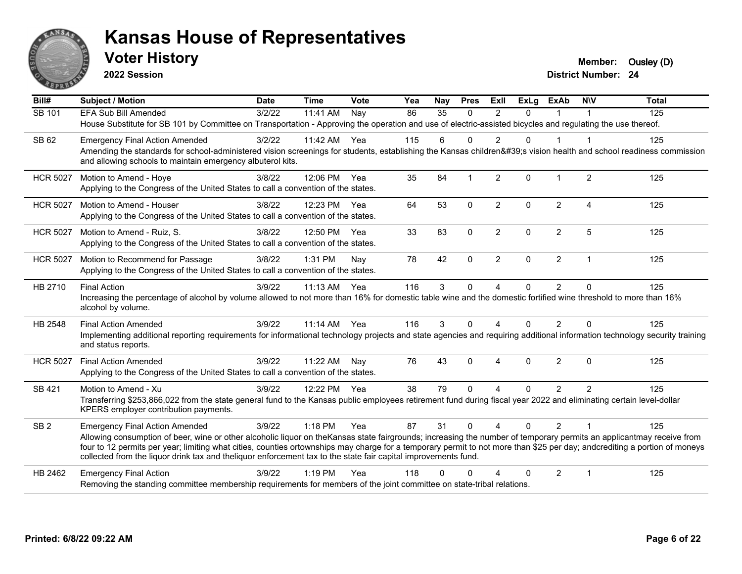

**2022 Session**

**Voter History Member:** Ousley (D)

| Bill#           | <b>Subject / Motion</b>                                                                                                                                                                                                                                                                                                                                                                                                                                              | <b>Date</b> | <b>Time</b> | Vote | Yea | Nay      | <b>Pres</b>             | ExII           | <b>ExLg</b> | <b>ExAb</b>    | <b>NIV</b>             | <b>Total</b> |
|-----------------|----------------------------------------------------------------------------------------------------------------------------------------------------------------------------------------------------------------------------------------------------------------------------------------------------------------------------------------------------------------------------------------------------------------------------------------------------------------------|-------------|-------------|------|-----|----------|-------------------------|----------------|-------------|----------------|------------------------|--------------|
| SB 101          | EFA Sub Bill Amended                                                                                                                                                                                                                                                                                                                                                                                                                                                 | 3/2/22      | 11:41 AM    | Nav  | 86  | 35       | $\Omega$                | $\mathfrak{p}$ | $\Omega$    |                |                        | 125          |
|                 | House Substitute for SB 101 by Committee on Transportation - Approving the operation and use of electric-assisted bicycles and regulating the use thereof.                                                                                                                                                                                                                                                                                                           |             |             |      |     |          |                         |                |             |                |                        |              |
| SB 62           | <b>Emergency Final Action Amended</b>                                                                                                                                                                                                                                                                                                                                                                                                                                | 3/2/22      | 11:42 AM    | Yea  | 115 | 6        | $\Omega$                | $\overline{2}$ | $\Omega$    | $\mathbf{1}$   | -1                     | 125          |
|                 | Amending the standards for school-administered vision screenings for students, establishing the Kansas children's vision health and school readiness commission<br>and allowing schools to maintain emergency albuterol kits.                                                                                                                                                                                                                                        |             |             |      |     |          |                         |                |             |                |                        |              |
| <b>HCR 5027</b> | Motion to Amend - Hoye                                                                                                                                                                                                                                                                                                                                                                                                                                               | 3/8/22      | 12:06 PM    | Yea  | 35  | 84       | $\overline{\mathbf{1}}$ | $\overline{2}$ | $\Omega$    | $\mathbf 1$    | $\overline{2}$         | 125          |
|                 | Applying to the Congress of the United States to call a convention of the states.                                                                                                                                                                                                                                                                                                                                                                                    |             |             |      |     |          |                         |                |             |                |                        |              |
| <b>HCR 5027</b> | Motion to Amend - Houser                                                                                                                                                                                                                                                                                                                                                                                                                                             | 3/8/22      | 12:23 PM    | Yea  | 64  | 53       | $\mathbf 0$             | $\overline{2}$ | $\Omega$    | $\overline{2}$ | $\boldsymbol{\Lambda}$ | 125          |
|                 | Applying to the Congress of the United States to call a convention of the states.                                                                                                                                                                                                                                                                                                                                                                                    |             |             |      |     |          |                         |                |             |                |                        |              |
| <b>HCR 5027</b> | Motion to Amend - Ruiz, S.                                                                                                                                                                                                                                                                                                                                                                                                                                           | 3/8/22      | 12:50 PM    | Yea  | 33  | 83       | $\mathbf{0}$            | $\overline{2}$ | $\Omega$    | $\overline{2}$ | 5                      | 125          |
|                 | Applying to the Congress of the United States to call a convention of the states.                                                                                                                                                                                                                                                                                                                                                                                    |             |             |      |     |          |                         |                |             |                |                        |              |
| <b>HCR 5027</b> | Motion to Recommend for Passage                                                                                                                                                                                                                                                                                                                                                                                                                                      | 3/8/22      | 1:31 PM     | Nay  | 78  | 42       | $\mathbf 0$             | $\overline{2}$ | $\Omega$    | $\overline{2}$ | $\overline{1}$         | 125          |
|                 | Applying to the Congress of the United States to call a convention of the states.                                                                                                                                                                                                                                                                                                                                                                                    |             |             |      |     |          |                         |                |             |                |                        |              |
| HB 2710         | <b>Final Action</b>                                                                                                                                                                                                                                                                                                                                                                                                                                                  | 3/9/22      | 11:13 AM    | Yea  | 116 | 3        | $\mathbf 0$             | 4              | 0           | $\overline{2}$ | $\mathbf{0}$           | 125          |
|                 | Increasing the percentage of alcohol by volume allowed to not more than 16% for domestic table wine and the domestic fortified wine threshold to more than 16%<br>alcohol by volume.                                                                                                                                                                                                                                                                                 |             |             |      |     |          |                         |                |             |                |                        |              |
| HB 2548         | <b>Final Action Amended</b>                                                                                                                                                                                                                                                                                                                                                                                                                                          | 3/9/22      | $11:14$ AM  | Yea  | 116 | 3        | $\Omega$                | 4              | $\Omega$    | 2              | $\Omega$               | 125          |
|                 | Implementing additional reporting requirements for informational technology projects and state agencies and requiring additional information technology security training<br>and status reports.                                                                                                                                                                                                                                                                     |             |             |      |     |          |                         |                |             |                |                        |              |
| <b>HCR 5027</b> | <b>Final Action Amended</b>                                                                                                                                                                                                                                                                                                                                                                                                                                          | 3/9/22      | 11:22 AM    | Nay  | 76  | 43       | $\mathbf{0}$            | $\overline{4}$ | $\Omega$    | $\overline{2}$ | $\mathbf{0}$           | 125          |
|                 | Applying to the Congress of the United States to call a convention of the states.                                                                                                                                                                                                                                                                                                                                                                                    |             |             |      |     |          |                         |                |             |                |                        |              |
| SB 421          | Motion to Amend - Xu                                                                                                                                                                                                                                                                                                                                                                                                                                                 | 3/9/22      | 12:22 PM    | Yea  | 38  | 79       | $\Omega$                | 4              | $\Omega$    | $\overline{2}$ | $\overline{2}$         | 125          |
|                 | Transferring \$253,866,022 from the state general fund to the Kansas public employees retirement fund during fiscal year 2022 and eliminating certain level-dollar<br>KPERS employer contribution payments.                                                                                                                                                                                                                                                          |             |             |      |     |          |                         |                |             |                |                        |              |
| SB <sub>2</sub> | <b>Emergency Final Action Amended</b>                                                                                                                                                                                                                                                                                                                                                                                                                                | 3/9/22      | $1:18$ PM   | Yea  | 87  | 31       | $\Omega$                | $\Delta$       | $\Omega$    | $\mathcal{P}$  | $\overline{1}$         | 125          |
|                 | Allowing consumption of beer, wine or other alcoholic liquor on the Kansas state fairgrounds; increasing the number of temporary permits an applicantmay receive from<br>four to 12 permits per year; limiting what cities, counties ortownships may charge for a temporary permit to not more than \$25 per day; andcrediting a portion of moneys<br>collected from the liquor drink tax and theliquor enforcement tax to the state fair capital improvements fund. |             |             |      |     |          |                         |                |             |                |                        |              |
| HB 2462         | <b>Emergency Final Action</b>                                                                                                                                                                                                                                                                                                                                                                                                                                        | 3/9/22      | $1:19$ PM   | Yea  | 118 | $\Omega$ | $\Omega$                | Δ              | $\Omega$    | $\overline{2}$ | $\mathbf 1$            | 125          |
|                 | Removing the standing committee membership requirements for members of the joint committee on state-tribal relations.                                                                                                                                                                                                                                                                                                                                                |             |             |      |     |          |                         |                |             |                |                        |              |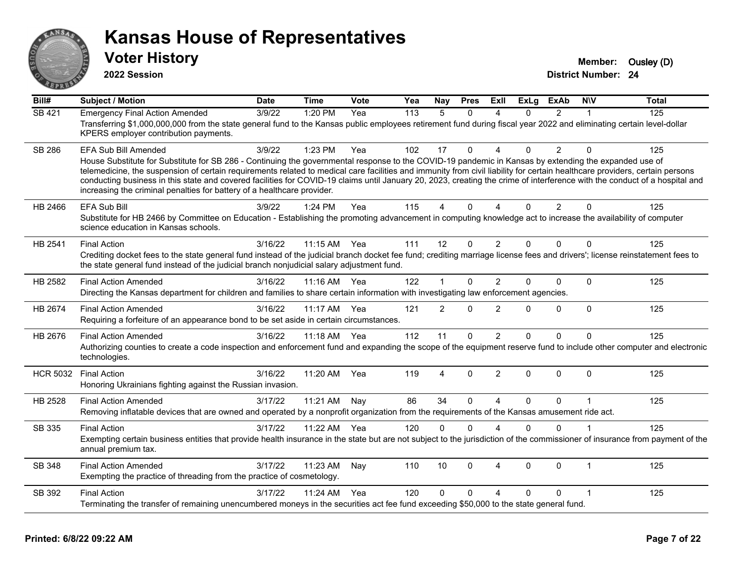

**2022 Session**

**Voter History Member:** Ousley (D)

| Bill#           | <b>Subject / Motion</b>                                                                                                                                                                                                                                                                                                                                                                                                                                                                                                                                                                       | <b>Date</b> | <b>Time</b>  | Vote | Yea | Nay            | <b>Pres</b>  | ExII           | <b>ExLg</b> | <b>ExAb</b>    | <b>NIV</b>  | <b>Total</b> |
|-----------------|-----------------------------------------------------------------------------------------------------------------------------------------------------------------------------------------------------------------------------------------------------------------------------------------------------------------------------------------------------------------------------------------------------------------------------------------------------------------------------------------------------------------------------------------------------------------------------------------------|-------------|--------------|------|-----|----------------|--------------|----------------|-------------|----------------|-------------|--------------|
| <b>SB 421</b>   | <b>Emergency Final Action Amended</b>                                                                                                                                                                                                                                                                                                                                                                                                                                                                                                                                                         | 3/9/22      | 1:20 PM      | Yea  | 113 | 5              | 0            | Δ              | 0           | $\overline{2}$ | 1           | 125          |
|                 | Transferring \$1,000,000,000 from the state general fund to the Kansas public employees retirement fund during fiscal year 2022 and eliminating certain level-dollar<br>KPERS employer contribution payments.                                                                                                                                                                                                                                                                                                                                                                                 |             |              |      |     |                |              |                |             |                |             |              |
| <b>SB 286</b>   | EFA Sub Bill Amended                                                                                                                                                                                                                                                                                                                                                                                                                                                                                                                                                                          | 3/9/22      | 1:23 PM      | Yea  | 102 | 17             | 0            | 4              | $\Omega$    | $\overline{2}$ | $\Omega$    | 125          |
|                 | House Substitute for Substitute for SB 286 - Continuing the governmental response to the COVID-19 pandemic in Kansas by extending the expanded use of<br>telemedicine, the suspension of certain requirements related to medical care facilities and immunity from civil liability for certain healthcare providers, certain persons<br>conducting business in this state and covered facilities for COVID-19 claims until January 20, 2023, creating the crime of interference with the conduct of a hospital and<br>increasing the criminal penalties for battery of a healthcare provider. |             |              |      |     |                |              |                |             |                |             |              |
| HB 2466         | EFA Sub Bill                                                                                                                                                                                                                                                                                                                                                                                                                                                                                                                                                                                  | 3/9/22      | 1:24 PM      | Yea  | 115 | 4              | $\Omega$     | $\Delta$       | $\Omega$    | 2              | $\Omega$    | 125          |
|                 | Substitute for HB 2466 by Committee on Education - Establishing the promoting advancement in computing knowledge act to increase the availability of computer<br>science education in Kansas schools.                                                                                                                                                                                                                                                                                                                                                                                         |             |              |      |     |                |              |                |             |                |             |              |
| HB 2541         | <b>Final Action</b>                                                                                                                                                                                                                                                                                                                                                                                                                                                                                                                                                                           | 3/16/22     | 11:15 AM Yea |      | 111 | 12             | $\mathbf 0$  | $\overline{2}$ | $\Omega$    | $\Omega$       | $\Omega$    | 125          |
|                 | Crediting docket fees to the state general fund instead of the judicial branch docket fee fund; crediting marriage license fees and drivers'; license reinstatement fees to<br>the state general fund instead of the judicial branch nonjudicial salary adjustment fund.                                                                                                                                                                                                                                                                                                                      |             |              |      |     |                |              |                |             |                |             |              |
| HB 2582         | <b>Final Action Amended</b>                                                                                                                                                                                                                                                                                                                                                                                                                                                                                                                                                                   | 3/16/22     | 11:16 AM Yea |      | 122 | 1              | 0            | $\overline{2}$ | 0           | $\Omega$       | $\Omega$    | 125          |
|                 | Directing the Kansas department for children and families to share certain information with investigating law enforcement agencies.                                                                                                                                                                                                                                                                                                                                                                                                                                                           |             |              |      |     |                |              |                |             |                |             |              |
| HB 2674         | <b>Final Action Amended</b><br>Requiring a forfeiture of an appearance bond to be set aside in certain circumstances.                                                                                                                                                                                                                                                                                                                                                                                                                                                                         | 3/16/22     | 11:17 AM     | Yea  | 121 | $\overline{2}$ | $\mathbf{0}$ | $\overline{2}$ | $\Omega$    | 0              | $\mathbf 0$ | 125          |
| HB 2676         | <b>Final Action Amended</b>                                                                                                                                                                                                                                                                                                                                                                                                                                                                                                                                                                   | 3/16/22     | 11:18 AM Yea |      | 112 | 11             | $\Omega$     | $\overline{2}$ | $\Omega$    | 0              | $\Omega$    | 125          |
|                 | Authorizing counties to create a code inspection and enforcement fund and expanding the scope of the equipment reserve fund to include other computer and electronic<br>technologies.                                                                                                                                                                                                                                                                                                                                                                                                         |             |              |      |     |                |              |                |             |                |             |              |
| <b>HCR 5032</b> | <b>Final Action</b>                                                                                                                                                                                                                                                                                                                                                                                                                                                                                                                                                                           | 3/16/22     | 11:20 AM     | Yea  | 119 | 4              | 0            | 2              | $\Omega$    | 0              | $\Omega$    | 125          |
|                 | Honoring Ukrainians fighting against the Russian invasion.                                                                                                                                                                                                                                                                                                                                                                                                                                                                                                                                    |             |              |      |     |                |              |                |             |                |             |              |
| HB 2528         | <b>Final Action Amended</b>                                                                                                                                                                                                                                                                                                                                                                                                                                                                                                                                                                   | 3/17/22     | 11:21 AM     | Nay  | 86  | 34             | $\Omega$     | $\overline{A}$ | $\Omega$    | $\Omega$       | $\mathbf 1$ | 125          |
|                 | Removing inflatable devices that are owned and operated by a nonprofit organization from the requirements of the Kansas amusement ride act.                                                                                                                                                                                                                                                                                                                                                                                                                                                   |             |              |      |     |                |              |                |             |                |             |              |
| SB 335          | <b>Final Action</b>                                                                                                                                                                                                                                                                                                                                                                                                                                                                                                                                                                           | 3/17/22     | 11:22 AM     | Yea  | 120 | $\mathbf{0}$   | $\mathbf{0}$ | $\Delta$       | $\Omega$    | $\Omega$       | $\mathbf 1$ | 125          |
|                 | Exempting certain business entities that provide health insurance in the state but are not subject to the jurisdiction of the commissioner of insurance from payment of the<br>annual premium tax.                                                                                                                                                                                                                                                                                                                                                                                            |             |              |      |     |                |              |                |             |                |             |              |
| SB 348          | <b>Final Action Amended</b>                                                                                                                                                                                                                                                                                                                                                                                                                                                                                                                                                                   | 3/17/22     | 11:23 AM     | Nay  | 110 | 10             | $\mathbf{0}$ | $\overline{4}$ | $\Omega$    | $\Omega$       | $\mathbf 1$ | 125          |
|                 | Exempting the practice of threading from the practice of cosmetology.                                                                                                                                                                                                                                                                                                                                                                                                                                                                                                                         |             |              |      |     |                |              |                |             |                |             |              |
| SB 392          | <b>Final Action</b>                                                                                                                                                                                                                                                                                                                                                                                                                                                                                                                                                                           | 3/17/22     | 11:24 AM     | Yea  | 120 | 0              | $\mathbf{0}$ | 4              | $\Omega$    | $\Omega$       | $\mathbf 1$ | 125          |
|                 | Terminating the transfer of remaining unencumbered moneys in the securities act fee fund exceeding \$50,000 to the state general fund.                                                                                                                                                                                                                                                                                                                                                                                                                                                        |             |              |      |     |                |              |                |             |                |             |              |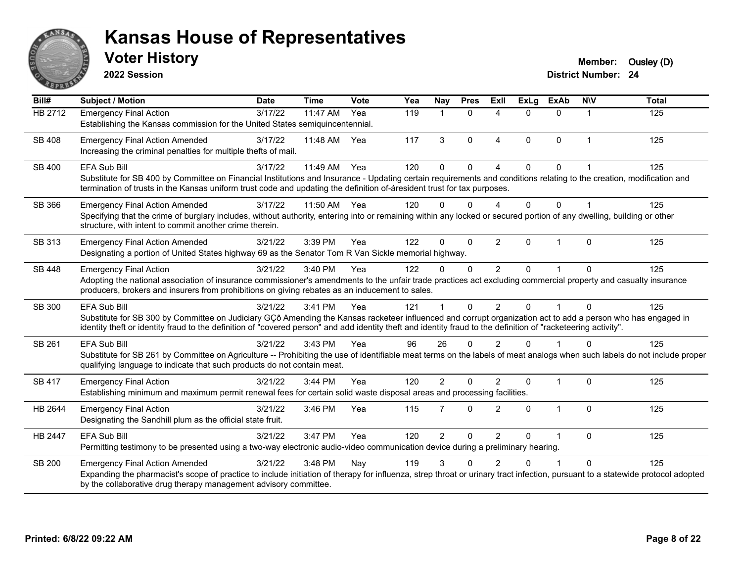

**2022 Session**

| Bill#         | <b>Subject / Motion</b>                                                                                                                                                                                                                                                                                                        | <b>Date</b> | <b>Time</b> | Vote | Yea | Nay            | <b>Pres</b>  | <b>Exll</b>    | <b>ExLg</b>  | <b>ExAb</b>  | <b>NIV</b> | <b>Total</b> |
|---------------|--------------------------------------------------------------------------------------------------------------------------------------------------------------------------------------------------------------------------------------------------------------------------------------------------------------------------------|-------------|-------------|------|-----|----------------|--------------|----------------|--------------|--------------|------------|--------------|
| HB 2712       | <b>Emergency Final Action</b>                                                                                                                                                                                                                                                                                                  | 3/17/22     | 11:47 AM    | Yea  | 119 | $\mathbf 1$    | $\mathbf{0}$ | 4              | $\Omega$     | $\Omega$     | 1          | 125          |
|               | Establishing the Kansas commission for the United States semiquincentennial.                                                                                                                                                                                                                                                   |             |             |      |     |                |              |                |              |              |            |              |
| <b>SB 408</b> | <b>Emergency Final Action Amended</b><br>Increasing the criminal penalties for multiple thefts of mail.                                                                                                                                                                                                                        | 3/17/22     | 11:48 AM    | Yea  | 117 | 3              | $\Omega$     | 4              | $\Omega$     | $\mathbf{0}$ | 1          | 125          |
| SB 400        | <b>EFA Sub Bill</b>                                                                                                                                                                                                                                                                                                            | 3/17/22     | 11:49 AM    | Yea  | 120 | $\mathbf{0}$   | $\Omega$     | $\overline{A}$ | $\Omega$     | $\Omega$     |            | 125          |
|               | Substitute for SB 400 by Committee on Financial Institutions and Insurance - Updating certain requirements and conditions relating to the creation, modification and<br>termination of trusts in the Kansas uniform trust code and updating the definition of-áresident trust for tax purposes.                                |             |             |      |     |                |              |                |              |              |            |              |
| SB 366        | <b>Emergency Final Action Amended</b>                                                                                                                                                                                                                                                                                          | 3/17/22     | 11:50 AM    | Yea  | 120 | 0              | $\Omega$     | $\Lambda$      | <sup>n</sup> | <sup>0</sup> |            | 125          |
|               | Specifying that the crime of burglary includes, without authority, entering into or remaining within any locked or secured portion of any dwelling, building or other<br>structure, with intent to commit another crime therein.                                                                                               |             |             |      |     |                |              |                |              |              |            |              |
| SB 313        | <b>Emergency Final Action Amended</b>                                                                                                                                                                                                                                                                                          | 3/21/22     | 3:39 PM     | Yea  | 122 | $\Omega$       | $\mathbf 0$  | $\overline{2}$ | $\Omega$     | -1           | 0          | 125          |
|               | Designating a portion of United States highway 69 as the Senator Tom R Van Sickle memorial highway.                                                                                                                                                                                                                            |             |             |      |     |                |              |                |              |              |            |              |
| SB 448        | <b>Emergency Final Action</b>                                                                                                                                                                                                                                                                                                  | 3/21/22     | 3:40 PM     | Yea  | 122 | $\Omega$       | $\Omega$     | $\overline{2}$ | 0            |              | $\Omega$   | 125          |
|               | Adopting the national association of insurance commissioner's amendments to the unfair trade practices act excluding commercial property and casualty insurance<br>producers, brokers and insurers from prohibitions on giving rebates as an inducement to sales.                                                              |             |             |      |     |                |              |                |              |              |            |              |
| SB 300        | <b>EFA Sub Bill</b>                                                                                                                                                                                                                                                                                                            | 3/21/22     | 3:41 PM     | Yea  | 121 |                | $\Omega$     | $\overline{2}$ | <sup>0</sup> |              | $\Omega$   | 125          |
|               | Substitute for SB 300 by Committee on Judiciary GCô Amending the Kansas racketeer influenced and corrupt organization act to add a person who has engaged in<br>identity theft or identity fraud to the definition of "covered person" and add identity theft and identity fraud to the definition of "racketeering activity". |             |             |      |     |                |              |                |              |              |            |              |
| SB 261        | EFA Sub Bill                                                                                                                                                                                                                                                                                                                   | 3/21/22     | 3:43 PM     | Yea  | 96  | 26             | $\Omega$     | $\mathfrak{p}$ |              |              | $\Omega$   | 125          |
|               | Substitute for SB 261 by Committee on Agriculture -- Prohibiting the use of identifiable meat terms on the labels of meat analogs when such labels do not include proper<br>qualifying language to indicate that such products do not contain meat.                                                                            |             |             |      |     |                |              |                |              |              |            |              |
| SB 417        | <b>Emergency Final Action</b>                                                                                                                                                                                                                                                                                                  | 3/21/22     | 3:44 PM     | Yea  | 120 | $\overline{2}$ | $\Omega$     | $\overline{2}$ | $\Omega$     | 1            | $\Omega$   | 125          |
|               | Establishing minimum and maximum permit renewal fees for certain solid waste disposal areas and processing facilities.                                                                                                                                                                                                         |             |             |      |     |                |              |                |              |              |            |              |
| HB 2644       | <b>Emergency Final Action</b>                                                                                                                                                                                                                                                                                                  | 3/21/22     | 3:46 PM     | Yea  | 115 | $\overline{7}$ | $\Omega$     | $\overline{2}$ | $\Omega$     | $\mathbf{1}$ | $\Omega$   | 125          |
|               | Designating the Sandhill plum as the official state fruit.                                                                                                                                                                                                                                                                     |             |             |      |     |                |              |                |              |              |            |              |
| HB 2447       | <b>EFA Sub Bill</b>                                                                                                                                                                                                                                                                                                            | 3/21/22     | 3:47 PM     | Yea  | 120 | 2              | 0            | $\overline{2}$ | $\Omega$     | 1            | $\Omega$   | 125          |
|               | Permitting testimony to be presented using a two-way electronic audio-video communication device during a preliminary hearing.                                                                                                                                                                                                 |             |             |      |     |                |              |                |              |              |            |              |
| SB 200        | <b>Emergency Final Action Amended</b>                                                                                                                                                                                                                                                                                          | 3/21/22     | 3:48 PM     | Nay  | 119 | 3              | 0            | っ              |              |              | 0          | 125          |
|               | Expanding the pharmacist's scope of practice to include initiation of therapy for influenza, strep throat or urinary tract infection, pursuant to a statewide protocol adopted<br>by the collaborative drug therapy management advisory committee.                                                                             |             |             |      |     |                |              |                |              |              |            |              |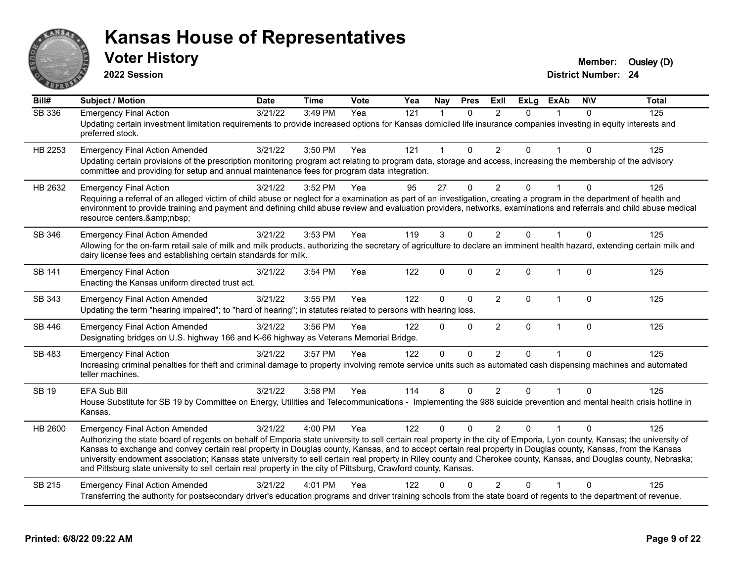

**2022 Session**

| Bill#         | <b>Subject / Motion</b>                                                                                                                                                                                                                                                                                                                                                                                                                                                                                                                                                                                                                                                      | <b>Date</b>      | <b>Time</b> | Vote | Yea | <b>Nay</b>           | <b>Pres</b>  | Exll           | <b>ExLg</b>    | <b>ExAb</b>  | <b>NIV</b>   | <b>Total</b> |
|---------------|------------------------------------------------------------------------------------------------------------------------------------------------------------------------------------------------------------------------------------------------------------------------------------------------------------------------------------------------------------------------------------------------------------------------------------------------------------------------------------------------------------------------------------------------------------------------------------------------------------------------------------------------------------------------------|------------------|-------------|------|-----|----------------------|--------------|----------------|----------------|--------------|--------------|--------------|
| <b>SB 336</b> | <b>Emergency Final Action</b><br>Updating certain investment limitation requirements to provide increased options for Kansas domiciled life insurance companies investing in equity interests and<br>preferred stock.                                                                                                                                                                                                                                                                                                                                                                                                                                                        | $\sqrt{3}/21/22$ | 3:49 PM     | Yea  | 121 | $\blacktriangleleft$ | $\Omega$     | $\mathcal{P}$  | $\Omega$       |              | $\Omega$     | 125          |
| HB 2253       | <b>Emergency Final Action Amended</b><br>Updating certain provisions of the prescription monitoring program act relating to program data, storage and access, increasing the membership of the advisory<br>committee and providing for setup and annual maintenance fees for program data integration.                                                                                                                                                                                                                                                                                                                                                                       | 3/21/22          | 3:50 PM     | Yea  | 121 | 1                    | $\Omega$     | $\overline{2}$ | 0              | $\mathbf{1}$ | $\mathbf{0}$ | 125          |
| HB 2632       | <b>Emergency Final Action</b><br>Requiring a referral of an alleged victim of child abuse or neglect for a examination as part of an investigation, creating a program in the department of health and<br>environment to provide training and payment and defining child abuse review and evaluation providers, networks, examinations and referrals and child abuse medical<br>resource centers.                                                                                                                                                                                                                                                                            | 3/21/22          | 3:52 PM     | Yea  | 95  | 27                   | $\Omega$     | $\overline{2}$ | 0              |              | $\Omega$     | 125          |
| SB 346        | <b>Emergency Final Action Amended</b><br>Allowing for the on-farm retail sale of milk and milk products, authorizing the secretary of agriculture to declare an imminent health hazard, extending certain milk and<br>dairy license fees and establishing certain standards for milk.                                                                                                                                                                                                                                                                                                                                                                                        | 3/21/22          | 3:53 PM     | Yea  | 119 | 3                    | $\mathbf{0}$ | $\overline{2}$ | $\Omega$       |              | $\mathbf{0}$ | 125          |
| SB 141        | <b>Emergency Final Action</b><br>Enacting the Kansas uniform directed trust act.                                                                                                                                                                                                                                                                                                                                                                                                                                                                                                                                                                                             | 3/21/22          | 3:54 PM     | Yea  | 122 | $\mathbf{0}$         | $\Omega$     | 2              | $\Omega$       | $\mathbf{1}$ | $\Omega$     | 125          |
| SB 343        | <b>Emergency Final Action Amended</b><br>Updating the term "hearing impaired"; to "hard of hearing"; in statutes related to persons with hearing loss.                                                                                                                                                                                                                                                                                                                                                                                                                                                                                                                       | 3/21/22          | 3:55 PM     | Yea  | 122 | $\Omega$             | $\mathbf 0$  | $\overline{2}$ | 0              | $\mathbf{1}$ | $\mathbf{0}$ | 125          |
| SB 446        | <b>Emergency Final Action Amended</b><br>Designating bridges on U.S. highway 166 and K-66 highway as Veterans Memorial Bridge.                                                                                                                                                                                                                                                                                                                                                                                                                                                                                                                                               | 3/21/22          | 3:56 PM     | Yea  | 122 | $\Omega$             | $\mathbf 0$  | 2              | $\mathbf 0$    | $\mathbf{1}$ | $\Omega$     | 125          |
| SB 483        | <b>Emergency Final Action</b><br>Increasing criminal penalties for theft and criminal damage to property involving remote service units such as automated cash dispensing machines and automated<br>teller machines.                                                                                                                                                                                                                                                                                                                                                                                                                                                         | 3/21/22          | 3:57 PM     | Yea  | 122 | $\Omega$             | $\Omega$     | $\overline{2}$ | $\Omega$       | 1            | $\Omega$     | 125          |
| <b>SB 19</b>  | <b>EFA Sub Bill</b><br>House Substitute for SB 19 by Committee on Energy, Utilities and Telecommunications - Implementing the 988 suicide prevention and mental health crisis hotline in<br>Kansas.                                                                                                                                                                                                                                                                                                                                                                                                                                                                          | 3/21/22          | 3:58 PM     | Yea  | 114 | 8                    | $\mathbf{0}$ | $\overline{2}$ | $\overline{0}$ |              | $\Omega$     | 125          |
| HB 2600       | <b>Emergency Final Action Amended</b><br>Authorizing the state board of regents on behalf of Emporia state university to sell certain real property in the city of Emporia, Lyon county, Kansas; the university of<br>Kansas to exchange and convey certain real property in Douglas county, Kansas, and to accept certain real property in Douglas county, Kansas, from the Kansas<br>university endowment association; Kansas state university to sell certain real property in Riley county and Cherokee county, Kansas, and Douglas county, Nebraska;<br>and Pittsburg state university to sell certain real property in the city of Pittsburg, Crawford county, Kansas. | 3/21/22          | 4:00 PM     | Yea  | 122 | 0                    | $\Omega$     | $\mathcal{P}$  | 0              |              | ∩            | 125          |
| SB 215        | <b>Emergency Final Action Amended</b><br>Transferring the authority for postsecondary driver's education programs and driver training schools from the state board of regents to the department of revenue.                                                                                                                                                                                                                                                                                                                                                                                                                                                                  | 3/21/22          | 4:01 PM     | Yea  | 122 | U                    | $\Omega$     | $\mathcal{P}$  | 0              |              | $\Omega$     | 125          |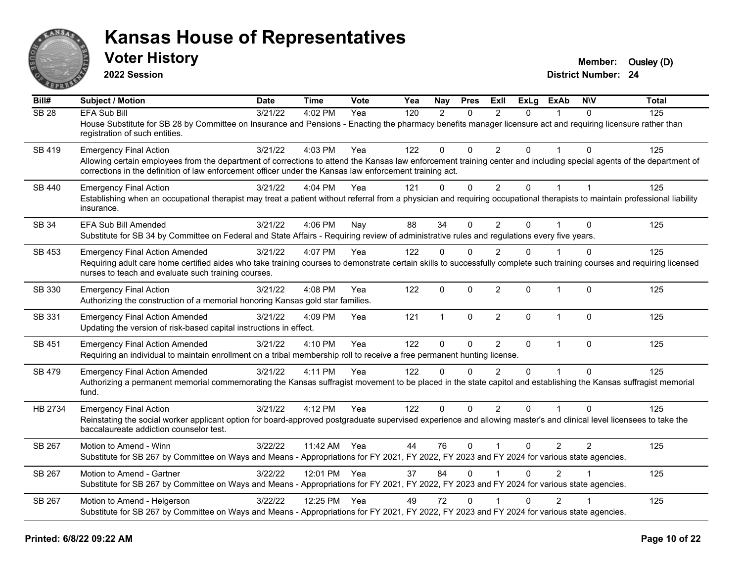

**2022 Session**

**Voter History Member:** Ousley (D)

| Bill#            | Subject / Motion                                                                                                                                                                                                                                                                | <b>Date</b> | <b>Time</b>  | <b>Vote</b> | Yea | Nay          | <b>Pres</b>  | ExII           | <b>ExLg</b>  | <b>ExAb</b>    | <b>NIV</b>              | <b>Total</b> |
|------------------|---------------------------------------------------------------------------------------------------------------------------------------------------------------------------------------------------------------------------------------------------------------------------------|-------------|--------------|-------------|-----|--------------|--------------|----------------|--------------|----------------|-------------------------|--------------|
| SB <sub>28</sub> | <b>EFA Sub Bill</b>                                                                                                                                                                                                                                                             | 3/21/22     | 4:02 PM      | Yea         | 120 | 2            | $\Omega$     | $\overline{2}$ | $\Omega$     |                | $\Omega$                | 125          |
|                  | House Substitute for SB 28 by Committee on Insurance and Pensions - Enacting the pharmacy benefits manager licensure act and requiring licensure rather than<br>registration of such entities.                                                                                  |             |              |             |     |              |              |                |              |                |                         |              |
| SB 419           | <b>Emergency Final Action</b>                                                                                                                                                                                                                                                   | 3/21/22     | 4:03 PM      | Yea         | 122 | $\Omega$     | $\Omega$     | $\mathcal{P}$  | $\Omega$     | $\overline{1}$ | $\Omega$                | 125          |
|                  | Allowing certain employees from the department of corrections to attend the Kansas law enforcement training center and including special agents of the department of<br>corrections in the definition of law enforcement officer under the Kansas law enforcement training act. |             |              |             |     |              |              |                |              |                |                         |              |
| SB 440           | <b>Emergency Final Action</b>                                                                                                                                                                                                                                                   | 3/21/22     | 4:04 PM      | Yea         | 121 | $\Omega$     | $\mathbf{0}$ | $\overline{2}$ | $\Omega$     | 1              | $\overline{\mathbf{1}}$ | 125          |
|                  | Establishing when an occupational therapist may treat a patient without referral from a physician and requiring occupational therapists to maintain professional liability<br>insurance.                                                                                        |             |              |             |     |              |              |                |              |                |                         |              |
| <b>SB 34</b>     | EFA Sub Bill Amended                                                                                                                                                                                                                                                            | 3/21/22     | 4:06 PM      | Nay         | 88  | 34           | $\mathbf{0}$ | $\overline{2}$ | $\Omega$     |                | $\Omega$                | 125          |
|                  | Substitute for SB 34 by Committee on Federal and State Affairs - Requiring review of administrative rules and regulations every five years.                                                                                                                                     |             |              |             |     |              |              |                |              |                |                         |              |
| SB 453           | <b>Emergency Final Action Amended</b>                                                                                                                                                                                                                                           | 3/21/22     | 4:07 PM      | Yea         | 122 | $\Omega$     | $\Omega$     | $\overline{2}$ | $\Omega$     |                | $\Omega$                | 125          |
|                  | Requiring adult care home certified aides who take training courses to demonstrate certain skills to successfully complete such training courses and requiring licensed<br>nurses to teach and evaluate such training courses.                                                  |             |              |             |     |              |              |                |              |                |                         |              |
| SB 330           | <b>Emergency Final Action</b><br>Authorizing the construction of a memorial honoring Kansas gold star families.                                                                                                                                                                 | 3/21/22     | 4:08 PM      | Yea         | 122 | $\mathbf 0$  | $\mathbf 0$  | $\overline{2}$ | $\Omega$     | $\mathbf{1}$   | $\Omega$                | 125          |
|                  |                                                                                                                                                                                                                                                                                 |             |              |             |     |              |              |                |              |                |                         |              |
| SB 331           | <b>Emergency Final Action Amended</b><br>Updating the version of risk-based capital instructions in effect.                                                                                                                                                                     | 3/21/22     | 4:09 PM      | Yea         | 121 | $\mathbf{1}$ | $\mathbf{0}$ | $\overline{2}$ | $\Omega$     | $\mathbf{1}$   | $\mathbf{0}$            | 125          |
| <b>SB 451</b>    | <b>Emergency Final Action Amended</b>                                                                                                                                                                                                                                           | 3/21/22     | 4:10 PM      | Yea         | 122 | $\Omega$     | $\mathbf{0}$ | $\overline{2}$ | $\mathbf{0}$ | $\mathbf{1}$   | $\mathbf{0}$            | 125          |
|                  | Requiring an individual to maintain enrollment on a tribal membership roll to receive a free permanent hunting license.                                                                                                                                                         |             |              |             |     |              |              |                |              |                |                         |              |
| <b>SB 479</b>    | <b>Emergency Final Action Amended</b>                                                                                                                                                                                                                                           | 3/21/22     | 4:11 PM      | Yea         | 122 | $\Omega$     | $\Omega$     | $\mathcal{P}$  | $\Omega$     | $\overline{1}$ | $\Omega$                | 125          |
|                  | Authorizing a permanent memorial commemorating the Kansas suffragist movement to be placed in the state capitol and establishing the Kansas suffragist memorial<br>fund.                                                                                                        |             |              |             |     |              |              |                |              |                |                         |              |
| HB 2734          | <b>Emergency Final Action</b>                                                                                                                                                                                                                                                   | 3/21/22     | 4:12 PM      | Yea         | 122 | $\Omega$     | $\mathbf{0}$ | $\overline{2}$ | $\Omega$     | 1              | $\Omega$                | 125          |
|                  | Reinstating the social worker applicant option for board-approved postgraduate supervised experience and allowing master's and clinical level licensees to take the<br>baccalaureate addiction counselor test.                                                                  |             |              |             |     |              |              |                |              |                |                         |              |
| SB 267           | Motion to Amend - Winn                                                                                                                                                                                                                                                          | 3/22/22     | 11:42 AM Yea |             | 44  | 76           | $\mathbf 0$  | $\overline{1}$ | $\Omega$     | $\overline{2}$ | 2                       | 125          |
|                  | Substitute for SB 267 by Committee on Ways and Means - Appropriations for FY 2021, FY 2022, FY 2023 and FY 2024 for various state agencies.                                                                                                                                     |             |              |             |     |              |              |                |              |                |                         |              |
| SB 267           | Motion to Amend - Gartner                                                                                                                                                                                                                                                       | 3/22/22     | 12:01 PM Yea |             | 37  | 84           | $\Omega$     |                | $\Omega$     | $\mathfrak{p}$ |                         | 125          |
|                  | Substitute for SB 267 by Committee on Ways and Means - Appropriations for FY 2021, FY 2022, FY 2023 and FY 2024 for various state agencies.                                                                                                                                     |             |              |             |     |              |              |                |              |                |                         |              |
| SB 267           | Motion to Amend - Helgerson                                                                                                                                                                                                                                                     | 3/22/22     | 12:25 PM Yea |             | 49  | 72           | $\Omega$     |                | $\Omega$     | $\overline{2}$ |                         | 125          |
|                  | Substitute for SB 267 by Committee on Ways and Means - Appropriations for FY 2021, FY 2022, FY 2023 and FY 2024 for various state agencies.                                                                                                                                     |             |              |             |     |              |              |                |              |                |                         |              |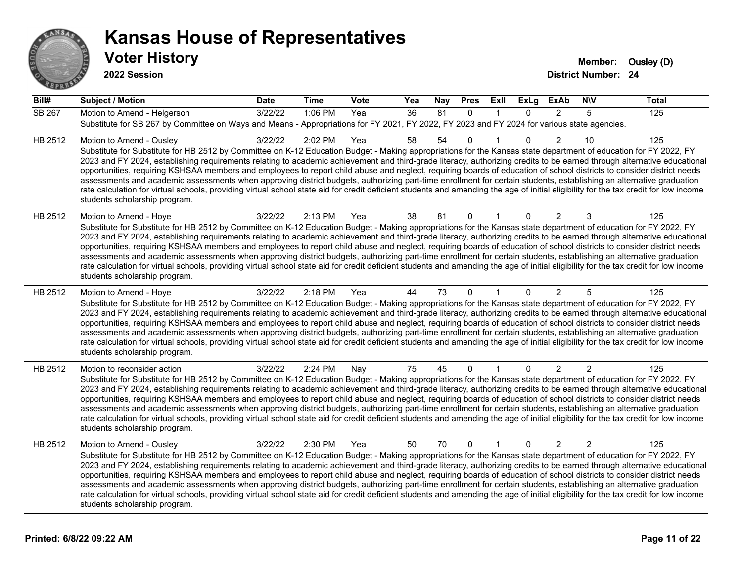

| Bill#   | <b>Subject / Motion</b>                                                                                                                                                                                                                                                                                                                                                                                                                                                                                                                                                                                                                                                                                                                                                                                                                                                                                                                             | <b>Date</b> | <b>Time</b> | Vote | Yea | <b>Nay</b> | <b>Pres</b>  | <b>Exll</b>  | <b>ExLg</b>  | <b>ExAb</b>    | <b>NIV</b>     | <b>Total</b> |
|---------|-----------------------------------------------------------------------------------------------------------------------------------------------------------------------------------------------------------------------------------------------------------------------------------------------------------------------------------------------------------------------------------------------------------------------------------------------------------------------------------------------------------------------------------------------------------------------------------------------------------------------------------------------------------------------------------------------------------------------------------------------------------------------------------------------------------------------------------------------------------------------------------------------------------------------------------------------------|-------------|-------------|------|-----|------------|--------------|--------------|--------------|----------------|----------------|--------------|
| SB 267  | Motion to Amend - Helgerson<br>Substitute for SB 267 by Committee on Ways and Means - Appropriations for FY 2021, FY 2022, FY 2023 and FY 2024 for various state agencies.                                                                                                                                                                                                                                                                                                                                                                                                                                                                                                                                                                                                                                                                                                                                                                          | 3/22/22     | 1:06 PM     | Yea  | 36  | 81         | $\mathbf{0}$ | $\mathbf{1}$ | $\Omega$     | $\overline{2}$ | 5              | 125          |
| HB 2512 | Motion to Amend - Ousley<br>Substitute for Substitute for HB 2512 by Committee on K-12 Education Budget - Making appropriations for the Kansas state department of education for FY 2022, FY<br>2023 and FY 2024, establishing requirements relating to academic achievement and third-grade literacy, authorizing credits to be earned through alternative educational<br>opportunities, requiring KSHSAA members and employees to report child abuse and neglect, requiring boards of education of school districts to consider district needs<br>assessments and academic assessments when approving district budgets, authorizing part-time enrollment for certain students, establishing an alternative graduation<br>rate calculation for virtual schools, providing virtual school state aid for credit deficient students and amending the age of initial eligibility for the tax credit for low income<br>students scholarship program.    | 3/22/22     | 2:02 PM     | Yea  | 58  | 54         | $\mathbf 0$  | $\mathbf 1$  | $\Omega$     | $\overline{2}$ | 10             | 125          |
| HB 2512 | Motion to Amend - Hoye<br>Substitute for Substitute for HB 2512 by Committee on K-12 Education Budget - Making appropriations for the Kansas state department of education for FY 2022, FY<br>2023 and FY 2024, establishing requirements relating to academic achievement and third-grade literacy, authorizing credits to be earned through alternative educational<br>opportunities, requiring KSHSAA members and employees to report child abuse and neglect, requiring boards of education of school districts to consider district needs<br>assessments and academic assessments when approving district budgets, authorizing part-time enrollment for certain students, establishing an alternative graduation<br>rate calculation for virtual schools, providing virtual school state aid for credit deficient students and amending the age of initial eligibility for the tax credit for low income<br>students scholarship program.      | 3/22/22     | 2:13 PM     | Yea  | 38  | 81         | 0            |              | $\mathbf{0}$ | $\overline{2}$ | 3              | 125          |
| HB 2512 | Motion to Amend - Hoye<br>Substitute for Substitute for HB 2512 by Committee on K-12 Education Budget - Making appropriations for the Kansas state department of education for FY 2022, FY<br>2023 and FY 2024, establishing requirements relating to academic achievement and third-grade literacy, authorizing credits to be earned through alternative educational<br>opportunities, requiring KSHSAA members and employees to report child abuse and neglect, requiring boards of education of school districts to consider district needs<br>assessments and academic assessments when approving district budgets, authorizing part-time enrollment for certain students, establishing an alternative graduation<br>rate calculation for virtual schools, providing virtual school state aid for credit deficient students and amending the age of initial eligibility for the tax credit for low income<br>students scholarship program.      | 3/22/22     | 2:18 PM     | Yea  | 44  | 73         | $\Omega$     | $\mathbf 1$  | $\Omega$     | $\overline{2}$ | 5              | 125          |
| HB 2512 | Motion to reconsider action<br>Substitute for Substitute for HB 2512 by Committee on K-12 Education Budget - Making appropriations for the Kansas state department of education for FY 2022, FY<br>2023 and FY 2024, establishing requirements relating to academic achievement and third-grade literacy, authorizing credits to be earned through alternative educational<br>opportunities, requiring KSHSAA members and employees to report child abuse and neglect, requiring boards of education of school districts to consider district needs<br>assessments and academic assessments when approving district budgets, authorizing part-time enrollment for certain students, establishing an alternative graduation<br>rate calculation for virtual schools, providing virtual school state aid for credit deficient students and amending the age of initial eligibility for the tax credit for low income<br>students scholarship program. | 3/22/22     | 2:24 PM     | Nay  | 75  | 45         | $\mathbf{0}$ |              | $\Omega$     | $\overline{2}$ | $\overline{2}$ | 125          |
| HB 2512 | Motion to Amend - Ousley<br>Substitute for Substitute for HB 2512 by Committee on K-12 Education Budget - Making appropriations for the Kansas state department of education for FY 2022, FY<br>2023 and FY 2024, establishing requirements relating to academic achievement and third-grade literacy, authorizing credits to be earned through alternative educational<br>opportunities, requiring KSHSAA members and employees to report child abuse and neglect, requiring boards of education of school districts to consider district needs<br>assessments and academic assessments when approving district budgets, authorizing part-time enrollment for certain students, establishing an alternative graduation<br>rate calculation for virtual schools, providing virtual school state aid for credit deficient students and amending the age of initial eligibility for the tax credit for low income<br>students scholarship program.    | 3/22/22     | 2:30 PM     | Yea  | 50  | 70         | $\mathbf{0}$ | $\mathbf{1}$ | $\Omega$     | $\overline{2}$ | $\mathfrak{p}$ | 125          |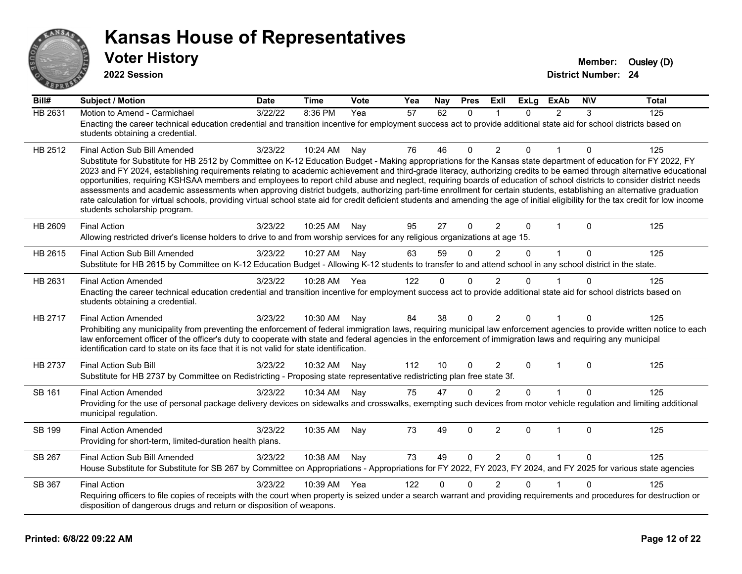

| Bill#   | Subject / Motion                                                                                                                                                                                                                                                                                                                                                                                                                                                                                                                                                                                                                                                                                                                                 | Date    | Time         | <b>Vote</b> | Yea | Nay      | <b>Pres</b>  | Exll           | <b>ExLg</b>  | <b>ExAb</b>    | <b>NIV</b>   | Total |
|---------|--------------------------------------------------------------------------------------------------------------------------------------------------------------------------------------------------------------------------------------------------------------------------------------------------------------------------------------------------------------------------------------------------------------------------------------------------------------------------------------------------------------------------------------------------------------------------------------------------------------------------------------------------------------------------------------------------------------------------------------------------|---------|--------------|-------------|-----|----------|--------------|----------------|--------------|----------------|--------------|-------|
| HB 2631 | Motion to Amend - Carmichael                                                                                                                                                                                                                                                                                                                                                                                                                                                                                                                                                                                                                                                                                                                     | 3/22/22 | 8:36 PM      | Yea         | 57  | 62       | $\Omega$     | 1              | $\Omega$     | $\overline{2}$ | 3            | 125   |
|         | Enacting the career technical education credential and transition incentive for employment success act to provide additional state aid for school districts based on<br>students obtaining a credential.                                                                                                                                                                                                                                                                                                                                                                                                                                                                                                                                         |         |              |             |     |          |              |                |              |                |              |       |
| HB 2512 | Final Action Sub Bill Amended<br>Substitute for Substitute for HB 2512 by Committee on K-12 Education Budget - Making appropriations for the Kansas state department of education for FY 2022, FY                                                                                                                                                                                                                                                                                                                                                                                                                                                                                                                                                | 3/23/22 | 10:24 AM     | Nay         | 76  | 46       | $\Omega$     | $\overline{2}$ | $\Omega$     | $\overline{1}$ | $\Omega$     | 125   |
|         | 2023 and FY 2024, establishing requirements relating to academic achievement and third-grade literacy, authorizing credits to be earned through alternative educational<br>opportunities, requiring KSHSAA members and employees to report child abuse and neglect, requiring boards of education of school districts to consider district needs<br>assessments and academic assessments when approving district budgets, authorizing part-time enrollment for certain students, establishing an alternative graduation<br>rate calculation for virtual schools, providing virtual school state aid for credit deficient students and amending the age of initial eligibility for the tax credit for low income<br>students scholarship program. |         |              |             |     |          |              |                |              |                |              |       |
| HB 2609 | <b>Final Action</b>                                                                                                                                                                                                                                                                                                                                                                                                                                                                                                                                                                                                                                                                                                                              | 3/23/22 | 10:25 AM     | Nay         | 95  | 27       | $\mathbf{0}$ | $\overline{2}$ | $\Omega$     | -1             | 0            | 125   |
|         | Allowing restricted driver's license holders to drive to and from worship services for any religious organizations at age 15.                                                                                                                                                                                                                                                                                                                                                                                                                                                                                                                                                                                                                    |         |              |             |     |          |              |                |              |                |              |       |
| HB 2615 | Final Action Sub Bill Amended                                                                                                                                                                                                                                                                                                                                                                                                                                                                                                                                                                                                                                                                                                                    | 3/23/22 | 10:27 AM     | Nav         | 63  | 59       | $\Omega$     | $\mathfrak{p}$ | $\Omega$     | $\mathbf{1}$   | $\Omega$     | 125   |
|         | Substitute for HB 2615 by Committee on K-12 Education Budget - Allowing K-12 students to transfer to and attend school in any school district in the state.                                                                                                                                                                                                                                                                                                                                                                                                                                                                                                                                                                                      |         |              |             |     |          |              |                |              |                |              |       |
| HB 2631 | <b>Final Action Amended</b>                                                                                                                                                                                                                                                                                                                                                                                                                                                                                                                                                                                                                                                                                                                      | 3/23/22 | 10:28 AM Yea |             | 122 | $\Omega$ | $\Omega$     | $\overline{2}$ | $\Omega$     |                | 0            | 125   |
|         | Enacting the career technical education credential and transition incentive for employment success act to provide additional state aid for school districts based on<br>students obtaining a credential.                                                                                                                                                                                                                                                                                                                                                                                                                                                                                                                                         |         |              |             |     |          |              |                |              |                |              |       |
| HB 2717 | <b>Final Action Amended</b>                                                                                                                                                                                                                                                                                                                                                                                                                                                                                                                                                                                                                                                                                                                      | 3/23/22 | 10:30 AM     | Nay         | 84  | 38       | $\mathbf{0}$ | $\overline{2}$ | $\Omega$     |                | 0            | 125   |
|         | Prohibiting any municipality from preventing the enforcement of federal immigration laws, requiring municipal law enforcement agencies to provide written notice to each<br>law enforcement officer of the officer's duty to cooperate with state and federal agencies in the enforcement of immigration laws and requiring any municipal<br>identification card to state on its face that it is not valid for state identification.                                                                                                                                                                                                                                                                                                             |         |              |             |     |          |              |                |              |                |              |       |
| HB 2737 | <b>Final Action Sub Bill</b>                                                                                                                                                                                                                                                                                                                                                                                                                                                                                                                                                                                                                                                                                                                     | 3/23/22 | 10:32 AM     | Nay         | 112 | 10       | $\mathbf{0}$ | $\overline{2}$ | $\Omega$     | $\mathbf 1$    | $\mathbf{0}$ | 125   |
|         | Substitute for HB 2737 by Committee on Redistricting - Proposing state representative redistricting plan free state 3f.                                                                                                                                                                                                                                                                                                                                                                                                                                                                                                                                                                                                                          |         |              |             |     |          |              |                |              |                |              |       |
| SB 161  | <b>Final Action Amended</b>                                                                                                                                                                                                                                                                                                                                                                                                                                                                                                                                                                                                                                                                                                                      | 3/23/22 | 10:34 AM     | Nay         | 75  | 47       | $\Omega$     | $\mathcal{P}$  | $\Omega$     |                | $\Omega$     | 125   |
|         | Providing for the use of personal package delivery devices on sidewalks and crosswalks, exempting such devices from motor vehicle regulation and limiting additional<br>municipal regulation.                                                                                                                                                                                                                                                                                                                                                                                                                                                                                                                                                    |         |              |             |     |          |              |                |              |                |              |       |
| SB 199  | <b>Final Action Amended</b>                                                                                                                                                                                                                                                                                                                                                                                                                                                                                                                                                                                                                                                                                                                      | 3/23/22 | 10:35 AM     | Nay         | 73  | 49       | 0            | $\overline{c}$ | $\mathbf 0$  | 1              | $\Omega$     | 125   |
|         | Providing for short-term, limited-duration health plans.                                                                                                                                                                                                                                                                                                                                                                                                                                                                                                                                                                                                                                                                                         |         |              |             |     |          |              |                |              |                |              |       |
| SB 267  | Final Action Sub Bill Amended                                                                                                                                                                                                                                                                                                                                                                                                                                                                                                                                                                                                                                                                                                                    | 3/23/22 | 10:38 AM     | Nay         | 73  | 49       | $\mathbf{0}$ | $\overline{2}$ | $\mathbf{0}$ | $\mathbf 1$    | $\mathbf{0}$ | 125   |
|         | House Substitute for Substitute for SB 267 by Committee on Appropriations - Appropriations for FY 2022, FY 2023, FY 2024, and FY 2025 for various state agencies                                                                                                                                                                                                                                                                                                                                                                                                                                                                                                                                                                                 |         |              |             |     |          |              |                |              |                |              |       |
| SB 367  | <b>Final Action</b>                                                                                                                                                                                                                                                                                                                                                                                                                                                                                                                                                                                                                                                                                                                              | 3/23/22 | 10:39 AM     | Yea         | 122 | $\Omega$ | <sup>0</sup> | 2              | $\Omega$     |                | 0            | 125   |
|         | Requiring officers to file copies of receipts with the court when property is seized under a search warrant and providing requirements and procedures for destruction or<br>disposition of dangerous drugs and return or disposition of weapons.                                                                                                                                                                                                                                                                                                                                                                                                                                                                                                 |         |              |             |     |          |              |                |              |                |              |       |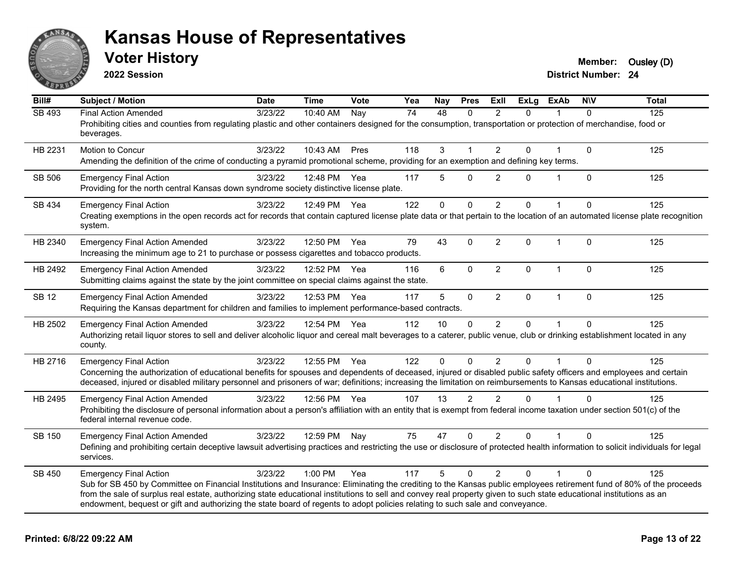

**2022 Session**

| Bill#        | <b>Subject / Motion</b>                                                                                                                                                                                                                                                                                                                                                                                                                                                                                        | <b>Date</b> | <b>Time</b>  | <b>Vote</b> | Yea | Nay      | <b>Pres</b>    | ExIl           | <b>ExLg</b>  | <b>ExAb</b>  | <b>NIV</b>   | <b>Total</b> |
|--------------|----------------------------------------------------------------------------------------------------------------------------------------------------------------------------------------------------------------------------------------------------------------------------------------------------------------------------------------------------------------------------------------------------------------------------------------------------------------------------------------------------------------|-------------|--------------|-------------|-----|----------|----------------|----------------|--------------|--------------|--------------|--------------|
| SB 493       | <b>Final Action Amended</b><br>Prohibiting cities and counties from regulating plastic and other containers designed for the consumption, transportation or protection of merchandise, food or<br>beverages.                                                                                                                                                                                                                                                                                                   | 3/23/22     | 10:40 AM     | Nay         | 74  | 48       | $\Omega$       | $\overline{2}$ | $\Omega$     |              | $\Omega$     | 125          |
| HB 2231      | Motion to Concur<br>Amending the definition of the crime of conducting a pyramid promotional scheme, providing for an exemption and defining key terms.                                                                                                                                                                                                                                                                                                                                                        | 3/23/22     | 10:43 AM     | Pres        | 118 | 3        | 1              | $\overline{2}$ | $\Omega$     |              | $\mathbf{0}$ | 125          |
| SB 506       | <b>Emergency Final Action</b><br>Providing for the north central Kansas down syndrome society distinctive license plate.                                                                                                                                                                                                                                                                                                                                                                                       | 3/23/22     | 12:48 PM     | Yea         | 117 | 5        | 0              | $\overline{2}$ | 0            |              | $\mathbf{0}$ | 125          |
| SB 434       | <b>Emergency Final Action</b><br>Creating exemptions in the open records act for records that contain captured license plate data or that pertain to the location of an automated license plate recognition<br>system.                                                                                                                                                                                                                                                                                         | 3/23/22     | 12:49 PM     | Yea         | 122 | $\Omega$ | 0              | $\overline{2}$ | $\Omega$     |              | $\Omega$     | 125          |
| HB 2340      | <b>Emergency Final Action Amended</b><br>Increasing the minimum age to 21 to purchase or possess cigarettes and tobacco products.                                                                                                                                                                                                                                                                                                                                                                              | 3/23/22     | 12:50 PM     | Yea         | 79  | 43       | $\mathbf 0$    | $\overline{2}$ | $\mathbf{0}$ | $\mathbf{1}$ | $\Omega$     | 125          |
| HB 2492      | <b>Emergency Final Action Amended</b><br>Submitting claims against the state by the joint committee on special claims against the state.                                                                                                                                                                                                                                                                                                                                                                       | 3/23/22     | 12:52 PM     | Yea         | 116 | 6        | $\mathbf 0$    | $\overline{2}$ | $\mathbf 0$  | $\mathbf{1}$ | $\mathbf{0}$ | 125          |
| <b>SB 12</b> | <b>Emergency Final Action Amended</b><br>Requiring the Kansas department for children and families to implement performance-based contracts.                                                                                                                                                                                                                                                                                                                                                                   | 3/23/22     | 12:53 PM     | Yea         | 117 | 5        | $\mathbf{0}$   | $\overline{2}$ | $\mathbf{0}$ | $\mathbf{1}$ | $\mathbf{0}$ | 125          |
| HB 2502      | <b>Emergency Final Action Amended</b><br>Authorizing retail liquor stores to sell and deliver alcoholic liquor and cereal malt beverages to a caterer, public venue, club or drinking establishment located in any<br>county.                                                                                                                                                                                                                                                                                  | 3/23/22     | 12:54 PM Yea |             | 112 | 10       | $\Omega$       | $\overline{2}$ | 0            |              | $\Omega$     | 125          |
| HB 2716      | <b>Emergency Final Action</b><br>Concerning the authorization of educational benefits for spouses and dependents of deceased, injured or disabled public safety officers and employees and certain<br>deceased, injured or disabled military personnel and prisoners of war; definitions; increasing the limitation on reimbursements to Kansas educational institutions.                                                                                                                                      | 3/23/22     | 12:55 PM     | Yea         | 122 | $\Omega$ | $\mathbf{0}$   | $\overline{2}$ | $\Omega$     |              | $\mathbf{0}$ | 125          |
| HB 2495      | <b>Emergency Final Action Amended</b><br>Prohibiting the disclosure of personal information about a person's affiliation with an entity that is exempt from federal income taxation under section 501(c) of the<br>federal internal revenue code.                                                                                                                                                                                                                                                              | 3/23/22     | 12:56 PM Yea |             | 107 | 13       | $\overline{2}$ | 2              | $\Omega$     |              | $\Omega$     | 125          |
| SB 150       | <b>Emergency Final Action Amended</b><br>Defining and prohibiting certain deceptive lawsuit advertising practices and restricting the use or disclosure of protected health information to solicit individuals for legal<br>services.                                                                                                                                                                                                                                                                          | 3/23/22     | 12:59 PM     | Nay         | 75  | 47       | $\Omega$       | $\overline{2}$ | $\Omega$     |              | $\Omega$     | 125          |
| SB 450       | <b>Emergency Final Action</b><br>Sub for SB 450 by Committee on Financial Institutions and Insurance: Eliminating the crediting to the Kansas public employees retirement fund of 80% of the proceeds<br>from the sale of surplus real estate, authorizing state educational institutions to sell and convey real property given to such state educational institutions as an<br>endowment, bequest or gift and authorizing the state board of regents to adopt policies relating to such sale and conveyance. | 3/23/22     | 1:00 PM      | Yea         | 117 | 5        | $\Omega$       | 2              | $\Omega$     |              | $\Omega$     | 125          |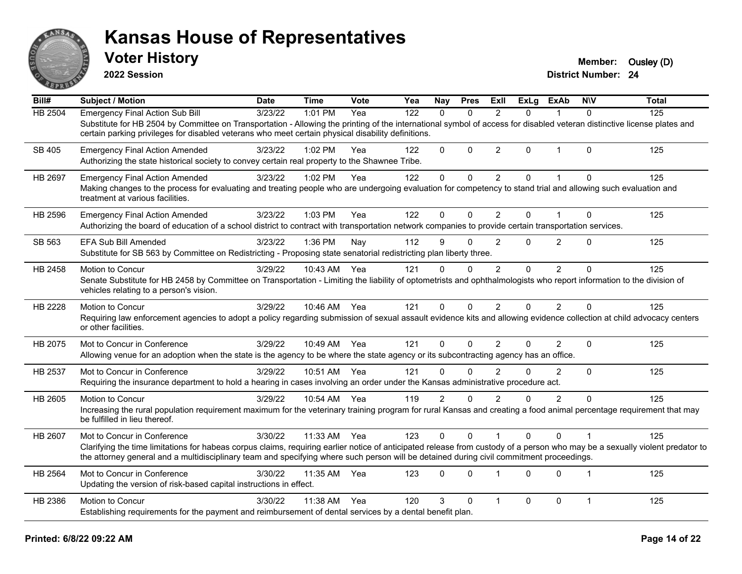

**2022 Session**

| Bill#          | <b>Subject / Motion</b>                                                                                                                                                                                                                                                                                                                                 | <b>Date</b> | <b>Time</b>  | Vote | Yea | Nay            | <b>Pres</b> | ExII           | <b>ExLg</b> | <b>ExAb</b>    | <b>NIV</b>     | <b>Total</b> |
|----------------|---------------------------------------------------------------------------------------------------------------------------------------------------------------------------------------------------------------------------------------------------------------------------------------------------------------------------------------------------------|-------------|--------------|------|-----|----------------|-------------|----------------|-------------|----------------|----------------|--------------|
| <b>HB 2504</b> | <b>Emergency Final Action Sub Bill</b><br>Substitute for HB 2504 by Committee on Transportation - Allowing the printing of the international symbol of access for disabled veteran distinctive license plates and<br>certain parking privileges for disabled veterans who meet certain physical disability definitions.                                 | 3/23/22     | 1:01 PM      | Yea  | 122 | $\Omega$       | $\Omega$    | $\mathcal{P}$  | $\Omega$    |                | $\Omega$       | 125          |
| SB 405         | <b>Emergency Final Action Amended</b><br>Authorizing the state historical society to convey certain real property to the Shawnee Tribe.                                                                                                                                                                                                                 | 3/23/22     | 1:02 PM      | Yea  | 122 | $\mathbf 0$    | $\mathbf 0$ | $\overline{2}$ | $\Omega$    | $\mathbf{1}$   | $\mathbf{0}$   | 125          |
| HB 2697        | <b>Emergency Final Action Amended</b><br>Making changes to the process for evaluating and treating people who are undergoing evaluation for competency to stand trial and allowing such evaluation and<br>treatment at various facilities.                                                                                                              | 3/23/22     | 1:02 PM      | Yea  | 122 | $\mathbf 0$    | $\mathbf 0$ | $\overline{2}$ | $\mathbf 0$ | $\mathbf{1}$   | $\mathbf 0$    | 125          |
| HB 2596        | <b>Emergency Final Action Amended</b><br>Authorizing the board of education of a school district to contract with transportation network companies to provide certain transportation services.                                                                                                                                                          | 3/23/22     | 1:03 PM      | Yea  | 122 | $\Omega$       | 0           | $\overline{2}$ | $\Omega$    | 1              | $\Omega$       | 125          |
| SB 563         | EFA Sub Bill Amended<br>Substitute for SB 563 by Committee on Redistricting - Proposing state senatorial redistricting plan liberty three.                                                                                                                                                                                                              | 3/23/22     | 1:36 PM      | Nay  | 112 | 9              | 0           | 2              | $\Omega$    | $\overline{2}$ | $\Omega$       | 125          |
| HB 2458        | Motion to Concur<br>Senate Substitute for HB 2458 by Committee on Transportation - Limiting the liability of optometrists and ophthalmologists who report information to the division of<br>vehicles relating to a person's vision.                                                                                                                     | 3/29/22     | 10:43 AM     | Yea  | 121 | $\Omega$       | $\Omega$    | $\overline{2}$ | $\Omega$    | 2              | $\Omega$       | 125          |
| HB 2228        | Motion to Concur<br>Requiring law enforcement agencies to adopt a policy regarding submission of sexual assault evidence kits and allowing evidence collection at child advocacy centers<br>or other facilities.                                                                                                                                        | 3/29/22     | 10:46 AM Yea |      | 121 | $\Omega$       | 0           | 2              | $\Omega$    | $\overline{2}$ | $\Omega$       | 125          |
| HB 2075        | Mot to Concur in Conference<br>Allowing venue for an adoption when the state is the agency to be where the state agency or its subcontracting agency has an office.                                                                                                                                                                                     | 3/29/22     | 10:49 AM     | Yea  | 121 | $\Omega$       | 0           | $\overline{2}$ | $\Omega$    | $\overline{2}$ | $\Omega$       | 125          |
| HB 2537        | Mot to Concur in Conference<br>Requiring the insurance department to hold a hearing in cases involving an order under the Kansas administrative procedure act.                                                                                                                                                                                          | 3/29/22     | 10:51 AM     | Yea  | 121 | $\Omega$       | $\Omega$    | $\mathfrak{p}$ | $\Omega$    | $\overline{2}$ | $\Omega$       | 125          |
| HB 2605        | Motion to Concur<br>Increasing the rural population requirement maximum for the veterinary training program for rural Kansas and creating a food animal percentage requirement that may<br>be fulfilled in lieu thereof.                                                                                                                                | 3/29/22     | 10:54 AM Yea |      | 119 | $\overline{2}$ | $\Omega$    | $\overline{2}$ | 0           | $\overline{2}$ | $\Omega$       | 125          |
| HB 2607        | Mot to Concur in Conference<br>Clarifying the time limitations for habeas corpus claims, requiring earlier notice of anticipated release from custody of a person who may be a sexually violent predator to<br>the attorney general and a multidisciplinary team and specifying where such person will be detained during civil commitment proceedings. | 3/30/22     | 11:33 AM     | Yea  | 123 | $\mathbf 0$    | 0           |                | $\Omega$    | $\Omega$       | $\overline{1}$ | 125          |
| HB 2564        | Mot to Concur in Conference<br>Updating the version of risk-based capital instructions in effect.                                                                                                                                                                                                                                                       | 3/30/22     | 11:35 AM     | Yea  | 123 | $\Omega$       | $\Omega$    |                | $\Omega$    | $\Omega$       | $\mathbf{1}$   | 125          |
| HB 2386        | Motion to Concur<br>Establishing requirements for the payment and reimbursement of dental services by a dental benefit plan.                                                                                                                                                                                                                            | 3/30/22     | 11:38 AM     | Yea  | 120 | 3              | 0           | $\mathbf{1}$   | 0           | 0              | $\mathbf{1}$   | 125          |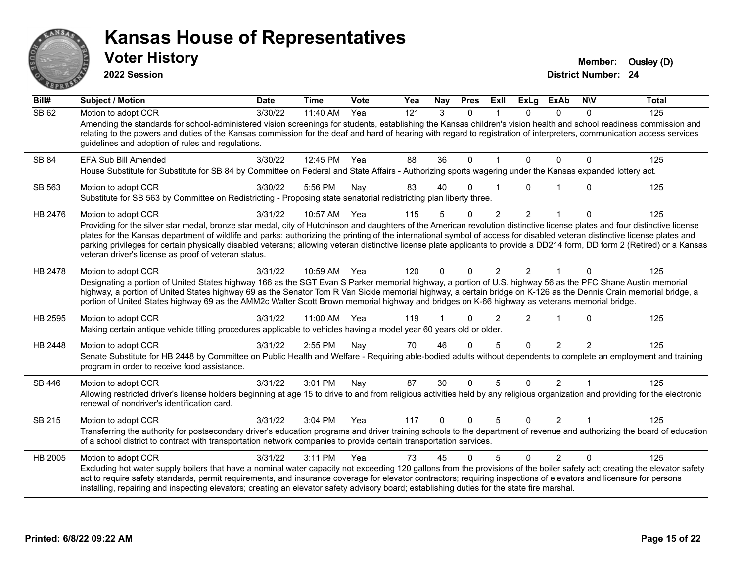

**2022 Session**

**Voter History Member:** Ousley (D)

| Bill#   | <b>Subject / Motion</b>                                                                                                                                                                                                                                                                                                                                                                                                                                                                                                                                                                                                 | <b>Date</b> | <b>Time</b>  | <b>Vote</b> | Yea | Nay      | <b>Pres</b> | ExII           | <b>ExLg</b>    | <b>ExAb</b>    | <b>NIV</b>     | <b>Total</b> |
|---------|-------------------------------------------------------------------------------------------------------------------------------------------------------------------------------------------------------------------------------------------------------------------------------------------------------------------------------------------------------------------------------------------------------------------------------------------------------------------------------------------------------------------------------------------------------------------------------------------------------------------------|-------------|--------------|-------------|-----|----------|-------------|----------------|----------------|----------------|----------------|--------------|
| SB 62   | Motion to adopt CCR<br>Amending the standards for school-administered vision screenings for students, establishing the Kansas children's vision health and school readiness commission and<br>relating to the powers and duties of the Kansas commission for the deaf and hard of hearing with regard to registration of interpreters, communication access services<br>guidelines and adoption of rules and regulations.                                                                                                                                                                                               | 3/30/22     | 11:40 AM     | Yea         | 121 | 3        | $\Omega$    |                | 0              | 0              | $\Omega$       | 125          |
| SB 84   | EFA Sub Bill Amended<br>House Substitute for Substitute for SB 84 by Committee on Federal and State Affairs - Authorizing sports wagering under the Kansas expanded lottery act.                                                                                                                                                                                                                                                                                                                                                                                                                                        | 3/30/22     | 12:45 PM Yea |             | 88  | 36       | $\mathbf 0$ |                | 0              | $\Omega$       | 0              | 125          |
| SB 563  | Motion to adopt CCR<br>Substitute for SB 563 by Committee on Redistricting - Proposing state senatorial redistricting plan liberty three.                                                                                                                                                                                                                                                                                                                                                                                                                                                                               | 3/30/22     | 5:56 PM      | Nay         | 83  | 40       | $\Omega$    |                | U              |                | 0              | 125          |
| HB 2476 | Motion to adopt CCR<br>Providing for the silver star medal, bronze star medal, city of Hutchinson and daughters of the American revolution distinctive license plates and four distinctive license<br>plates for the Kansas department of wildlife and parks; authorizing the printing of the international symbol of access for disabled veteran distinctive license plates and<br>parking privileges for certain physically disabled veterans; allowing veteran distinctive license plate applicants to provide a DD214 form, DD form 2 (Retired) or a Kansas<br>veteran driver's license as proof of veteran status. | 3/31/22     | 10:57 AM     | Yea         | 115 | 5        | 0           | $\overline{2}$ | $\overline{2}$ |                | 0              | 125          |
| HB 2478 | Motion to adopt CCR<br>Designating a portion of United States highway 166 as the SGT Evan S Parker memorial highway, a portion of U.S. highway 56 as the PFC Shane Austin memorial<br>highway, a portion of United States highway 69 as the Senator Tom R Van Sickle memorial highway, a certain bridge on K-126 as the Dennis Crain memorial bridge, a<br>portion of United States highway 69 as the AMM2c Walter Scott Brown memorial highway and bridges on K-66 highway as veterans memorial bridge.                                                                                                                | 3/31/22     | 10:59 AM Yea |             | 120 | $\Omega$ | $\Omega$    | $\overline{2}$ | $\mathcal{P}$  |                | $\Omega$       | 125          |
| HB 2595 | Motion to adopt CCR<br>Making certain antique vehicle titling procedures applicable to vehicles having a model year 60 years old or older.                                                                                                                                                                                                                                                                                                                                                                                                                                                                              | 3/31/22     | 11:00 AM     | Yea         | 119 |          | $\Omega$    | $\mathfrak{p}$ | $\overline{2}$ | -1             | 0              | 125          |
| HB 2448 | Motion to adopt CCR<br>Senate Substitute for HB 2448 by Committee on Public Health and Welfare - Requiring able-bodied adults without dependents to complete an employment and training<br>program in order to receive food assistance.                                                                                                                                                                                                                                                                                                                                                                                 | 3/31/22     | 2:55 PM      | Nay         | 70  | 46       | $\Omega$    | 5              | $\Omega$       | $\overline{2}$ | $\overline{2}$ | 125          |
| SB 446  | Motion to adopt CCR<br>Allowing restricted driver's license holders beginning at age 15 to drive to and from religious activities held by any religious organization and providing for the electronic<br>renewal of nondriver's identification card.                                                                                                                                                                                                                                                                                                                                                                    | 3/31/22     | 3:01 PM      | Nay         | 87  | 30       | $\mathbf 0$ | 5              | $\Omega$       | $\overline{2}$ | 1              | 125          |
| SB 215  | Motion to adopt CCR<br>Transferring the authority for postsecondary driver's education programs and driver training schools to the department of revenue and authorizing the board of education<br>of a school district to contract with transportation network companies to provide certain transportation services.                                                                                                                                                                                                                                                                                                   | 3/31/22     | 3:04 PM      | Yea         | 117 | $\Omega$ | $\Omega$    | 5              | $\Omega$       | 2              | $\mathbf{1}$   | 125          |
| HB 2005 | Motion to adopt CCR<br>Excluding hot water supply boilers that have a nominal water capacity not exceeding 120 gallons from the provisions of the boiler safety act; creating the elevator safety<br>act to require safety standards, permit requirements, and insurance coverage for elevator contractors; requiring inspections of elevators and licensure for persons<br>installing, repairing and inspecting elevators; creating an elevator safety advisory board; establishing duties for the state fire marshal.                                                                                                 | 3/31/22     | 3:11 PM      | Yea         | 73  | 45       | $\Omega$    | 5              | $\Omega$       | $\mathcal{P}$  | $\Omega$       | 125          |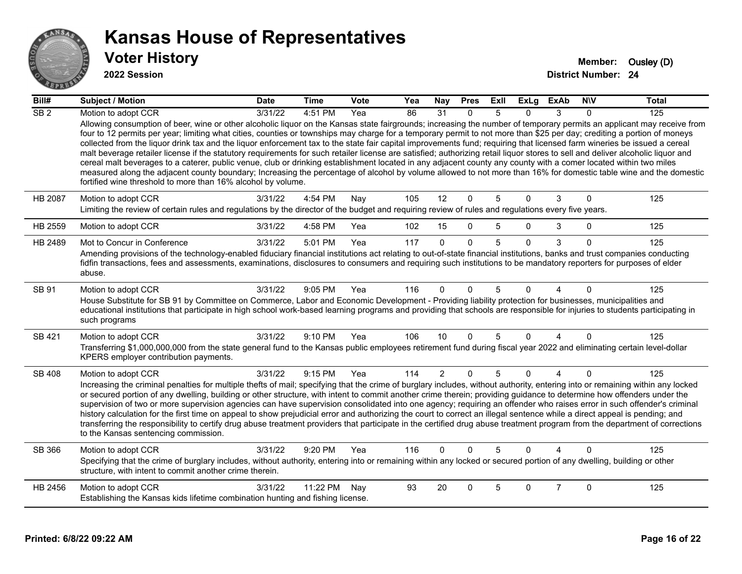

| Bill#            | <b>Subject / Motion</b>                                                                                                                                                                                                                                                                                                                                                                                                                                                                                                                                                                                                                                                                                                                                                                                                                                                                                                                                                                                                                                                                                                   | <b>Date</b> | <b>Time</b> | Vote | Yea | <b>Nay</b>     | <b>Pres</b>  | ExII | <b>ExLg</b> | <b>ExAb</b>    | <b>NIV</b>   | <b>Total</b> |
|------------------|---------------------------------------------------------------------------------------------------------------------------------------------------------------------------------------------------------------------------------------------------------------------------------------------------------------------------------------------------------------------------------------------------------------------------------------------------------------------------------------------------------------------------------------------------------------------------------------------------------------------------------------------------------------------------------------------------------------------------------------------------------------------------------------------------------------------------------------------------------------------------------------------------------------------------------------------------------------------------------------------------------------------------------------------------------------------------------------------------------------------------|-------------|-------------|------|-----|----------------|--------------|------|-------------|----------------|--------------|--------------|
| $\overline{SB2}$ | Motion to adopt CCR                                                                                                                                                                                                                                                                                                                                                                                                                                                                                                                                                                                                                                                                                                                                                                                                                                                                                                                                                                                                                                                                                                       | 3/31/22     | 4:51 PM     | Yea  | 86  | 31             | 0            | 5    | 0           | 3              | $\Omega$     | 125          |
|                  | Allowing consumption of beer, wine or other alcoholic liquor on the Kansas state fairgrounds; increasing the number of temporary permits an applicant may receive from<br>four to 12 permits per year; limiting what cities, counties or townships may charge for a temporary permit to not more than \$25 per day; crediting a portion of moneys<br>collected from the liquor drink tax and the liquor enforcement tax to the state fair capital improvements fund; requiring that licensed farm wineries be issued a cereal<br>malt beverage retailer license if the statutory requirements for such retailer license are satisfied; authorizing retail liquor stores to sell and deliver alcoholic liquor and<br>cereal malt beverages to a caterer, public venue, club or drinking establishment located in any adjacent county any county with a comer located within two miles<br>measured along the adjacent county boundary; Increasing the percentage of alcohol by volume allowed to not more than 16% for domestic table wine and the domestic<br>fortified wine threshold to more than 16% alcohol by volume. |             |             |      |     |                |              |      |             |                |              |              |
| HB 2087          | Motion to adopt CCR<br>Limiting the review of certain rules and regulations by the director of the budget and requiring review of rules and regulations every five years.                                                                                                                                                                                                                                                                                                                                                                                                                                                                                                                                                                                                                                                                                                                                                                                                                                                                                                                                                 | 3/31/22     | 4:54 PM     | Nay  | 105 | 12             | $\mathbf 0$  | 5    | 0           | 3              | $\mathbf 0$  | 125          |
|                  |                                                                                                                                                                                                                                                                                                                                                                                                                                                                                                                                                                                                                                                                                                                                                                                                                                                                                                                                                                                                                                                                                                                           |             |             |      |     |                |              |      |             |                |              |              |
| HB 2559          | Motion to adopt CCR                                                                                                                                                                                                                                                                                                                                                                                                                                                                                                                                                                                                                                                                                                                                                                                                                                                                                                                                                                                                                                                                                                       | 3/31/22     | 4:58 PM     | Yea  | 102 | 15             | $\mathbf 0$  | 5    | 0           | 3              | $\mathbf{0}$ | 125          |
| HB 2489          | Mot to Concur in Conference                                                                                                                                                                                                                                                                                                                                                                                                                                                                                                                                                                                                                                                                                                                                                                                                                                                                                                                                                                                                                                                                                               | 3/31/22     | 5:01 PM     | Yea  | 117 | $\Omega$       | $\mathbf{0}$ | 5    | $\Omega$    | 3              | $\Omega$     | 125          |
|                  | Amending provisions of the technology-enabled fiduciary financial institutions act relating to out-of-state financial institutions, banks and trust companies conducting<br>fidfin transactions, fees and assessments, examinations, disclosures to consumers and requiring such institutions to be mandatory reporters for purposes of elder<br>abuse.                                                                                                                                                                                                                                                                                                                                                                                                                                                                                                                                                                                                                                                                                                                                                                   |             |             |      |     |                |              |      |             |                |              |              |
| SB 91            | Motion to adopt CCR<br>House Substitute for SB 91 by Committee on Commerce, Labor and Economic Development - Providing liability protection for businesses, municipalities and<br>educational institutions that participate in high school work-based learning programs and providing that schools are responsible for injuries to students participating in<br>such programs                                                                                                                                                                                                                                                                                                                                                                                                                                                                                                                                                                                                                                                                                                                                             | 3/31/22     | 9:05 PM     | Yea  | 116 | 0              | $\Omega$     | 5    | 0           |                | $\Omega$     | 125          |
| SB 421           | Motion to adopt CCR                                                                                                                                                                                                                                                                                                                                                                                                                                                                                                                                                                                                                                                                                                                                                                                                                                                                                                                                                                                                                                                                                                       | 3/31/22     | $9:10$ PM   | Yea  | 106 | 10             | $\mathbf{0}$ | 5    | 0           | 4              | $\Omega$     | 125          |
|                  | Transferring \$1,000,000,000 from the state general fund to the Kansas public employees retirement fund during fiscal year 2022 and eliminating certain level-dollar<br>KPERS employer contribution payments.                                                                                                                                                                                                                                                                                                                                                                                                                                                                                                                                                                                                                                                                                                                                                                                                                                                                                                             |             |             |      |     |                |              |      |             |                |              |              |
| <b>SB 408</b>    | Motion to adopt CCR                                                                                                                                                                                                                                                                                                                                                                                                                                                                                                                                                                                                                                                                                                                                                                                                                                                                                                                                                                                                                                                                                                       | 3/31/22     | 9:15 PM     | Yea  | 114 | $\overline{2}$ | $\mathbf{0}$ | 5    | $\Omega$    | 4              | $\Omega$     | 125          |
|                  | Increasing the criminal penalties for multiple thefts of mail; specifying that the crime of burglary includes, without authority, entering into or remaining within any locked<br>or secured portion of any dwelling, building or other structure, with intent to commit another crime therein; providing guidance to determine how offenders under the<br>supervision of two or more supervision agencies can have supervision consolidated into one agency; requiring an offender who raises error in such offender's criminal<br>history calculation for the first time on appeal to show prejudicial error and authorizing the court to correct an illegal sentence while a direct appeal is pending; and<br>transferring the responsibility to certify drug abuse treatment providers that participate in the certified drug abuse treatment program from the department of corrections<br>to the Kansas sentencing commission.                                                                                                                                                                                      |             |             |      |     |                |              |      |             |                |              |              |
| SB 366           | Motion to adopt CCR                                                                                                                                                                                                                                                                                                                                                                                                                                                                                                                                                                                                                                                                                                                                                                                                                                                                                                                                                                                                                                                                                                       | 3/31/22     | 9:20 PM     | Yea  | 116 | $\Omega$       | $\Omega$     | 5    | $\Omega$    | 4              | $\Omega$     | 125          |
|                  | Specifying that the crime of burglary includes, without authority, entering into or remaining within any locked or secured portion of any dwelling, building or other<br>structure, with intent to commit another crime therein.                                                                                                                                                                                                                                                                                                                                                                                                                                                                                                                                                                                                                                                                                                                                                                                                                                                                                          |             |             |      |     |                |              |      |             |                |              |              |
| HB 2456          | Motion to adopt CCR                                                                                                                                                                                                                                                                                                                                                                                                                                                                                                                                                                                                                                                                                                                                                                                                                                                                                                                                                                                                                                                                                                       | 3/31/22     | 11:22 PM    | Nay  | 93  | 20             | $\Omega$     | 5    | 0           | $\overline{7}$ | $\mathbf 0$  | 125          |
|                  | Establishing the Kansas kids lifetime combination hunting and fishing license.                                                                                                                                                                                                                                                                                                                                                                                                                                                                                                                                                                                                                                                                                                                                                                                                                                                                                                                                                                                                                                            |             |             |      |     |                |              |      |             |                |              |              |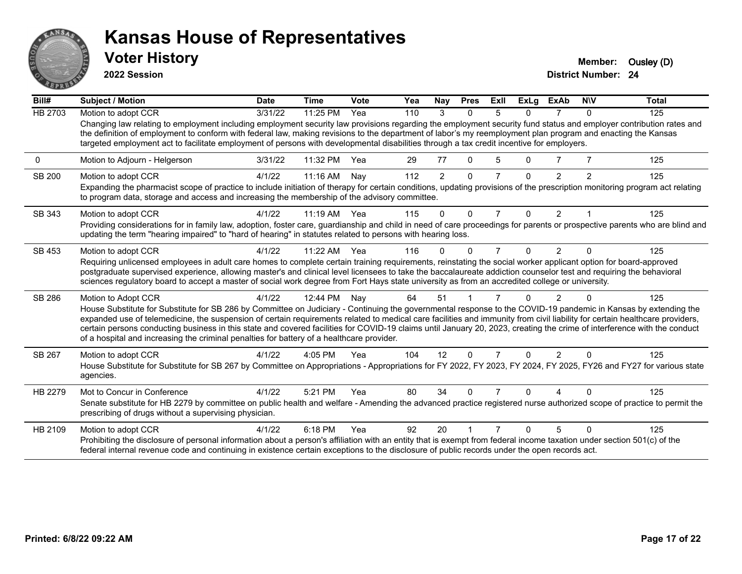

**2022 Session**

**District Number: 24 Voter History Member:** Ousley (D)

**Bill# Subject / Motion Date Time Vote Yea Nay Pres Exll ExLg ExAb N\V Total** HB 2703 Motion to adopt CCR 3/31/22 11:25 PM Yea 110 3 0 5 0 7 0 125 Changing law relating to employment including employment security law provisions regarding the employment security fund status and employer contribution rates and the definition of employment to conform with federal law, making revisions to the department of labor's my reemployment plan program and enacting the Kansas targeted employment act to facilitate employment of persons with developmental disabilities through a tax credit incentive for employers. 0 Motion to Adjourn - Helgerson 3/31/22 11:32 PM Yea 29 77 0 5 0 7 7 125 SB 200 Motion to adopt CCR 4/1/22 11:16 AM Nay 112 2 0 7 0 2 2 125 Expanding the pharmacist scope of practice to include initiation of therapy for certain conditions, updating provisions of the prescription monitoring program act relating to program data, storage and access and increasing the membership of the advisory committee. SB 343 Motion to adopt CCR 4/1/22 11:19 AM Yea 115 0 0 7 0 2 1 125 Providing considerations for in family law, adoption, foster care, guardianship and child in need of care proceedings for parents or prospective parents who are blind and updating the term "hearing impaired" to "hard of hearing" in statutes related to persons with hearing loss. SB 453 Motion to adopt CCR 4/1/22 11:22 AM Yea 116 0 0 7 0 2 0 125 Requiring unlicensed employees in adult care homes to complete certain training requirements, reinstating the social worker applicant option for board-approved postgraduate supervised experience, allowing master's and clinical level licensees to take the baccalaureate addiction counselor test and requiring the behavioral sciences regulatory board to accept a master of social work degree from Fort Hays state university as from an accredited college or university. SB 286 Motion to Adopt CCR 4/1/22 12:44 PM Nay 64 51 1 7 0 2 0 125 House Substitute for Substitute for SB 286 by Committee on Judiciary - Continuing the governmental response to the COVID-19 pandemic in Kansas by extending the expanded use of telemedicine, the suspension of certain requirements related to medical care facilities and immunity from civil liability for certain healthcare providers, certain persons conducting business in this state and covered facilities for COVID-19 claims until January 20, 2023, creating the crime of interference with the conduct of a hospital and increasing the criminal penalties for battery of a healthcare provider. SB 267 Motion to adopt CCR 4/1/22 4:05 PM Yea 104 12 0 7 0 2 0 125 House Substitute for Substitute for SB 267 by Committee on Appropriations - Appropriations for FY 2022, FY 2023, FY 2024, FY 2025, FY26 and FY27 for various state agencies. HB 2279 Mot to Concur in Conference  $\frac{4}{1/22}$  5:21 PM Yea 80 34 0 7 0 4 0 125 Senate substitute for HB 2279 by committee on public health and welfare - Amending the advanced practice registered nurse authorized scope of practice to permit the prescribing of drugs without a supervising physician. HB 2109 Motion to adopt CCR 4/1/22 6:18 PM Yea 92 20 1 7 0 5 0 125 Prohibiting the disclosure of personal information about a person's affiliation with an entity that is exempt from federal income taxation under section 501(c) of the federal internal revenue code and continuing in existence certain exceptions to the disclosure of public records under the open records act.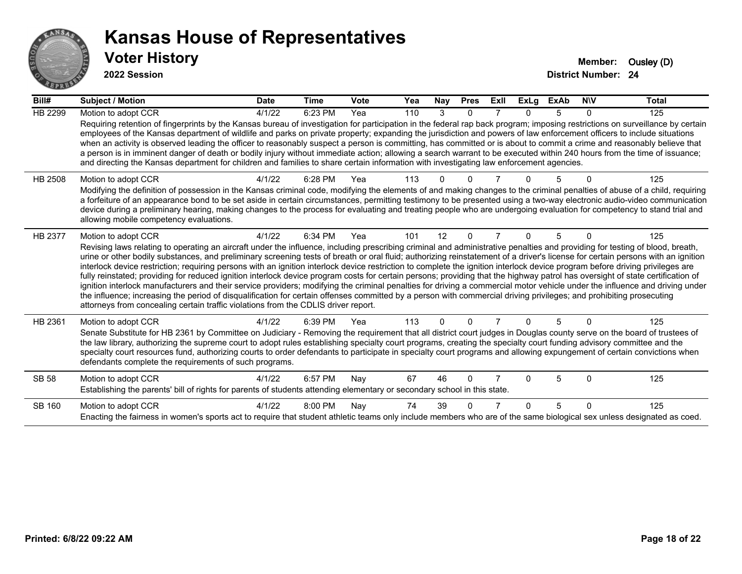

| Bill#          | Subject / Motion                                                                                                                                                                                                                                                                                                                                                                                                                                                                                                                                                                                                                                                                                                                                                                                                                                                                                                                                                                                                                                                                                                                                                               | <b>Date</b> | <b>Time</b> | Vote | Yea | <b>Nay</b> | <b>Pres</b> | ExII | ExLg | <b>ExAb</b> | <b>NIV</b> | <b>Total</b> |
|----------------|--------------------------------------------------------------------------------------------------------------------------------------------------------------------------------------------------------------------------------------------------------------------------------------------------------------------------------------------------------------------------------------------------------------------------------------------------------------------------------------------------------------------------------------------------------------------------------------------------------------------------------------------------------------------------------------------------------------------------------------------------------------------------------------------------------------------------------------------------------------------------------------------------------------------------------------------------------------------------------------------------------------------------------------------------------------------------------------------------------------------------------------------------------------------------------|-------------|-------------|------|-----|------------|-------------|------|------|-------------|------------|--------------|
| <b>HB 2299</b> | Motion to adopt CCR                                                                                                                                                                                                                                                                                                                                                                                                                                                                                                                                                                                                                                                                                                                                                                                                                                                                                                                                                                                                                                                                                                                                                            | 4/1/22      | 6:23 PM     | Yea  | 110 | 3          | $\Omega$    |      | 0    | 5           | $\Omega$   | 125          |
|                | Requiring retention of fingerprints by the Kansas bureau of investigation for participation in the federal rap back program; imposing restrictions on surveillance by certain<br>employees of the Kansas department of wildlife and parks on private property; expanding the jurisdiction and powers of law enforcement officers to include situations<br>when an activity is observed leading the officer to reasonably suspect a person is committing, has committed or is about to commit a crime and reasonably believe that<br>a person is in imminent danger of death or bodily injury without immediate action; allowing a search warrant to be executed within 240 hours from the time of issuance;<br>and directing the Kansas department for children and families to share certain information with investigating law enforcement agencies.                                                                                                                                                                                                                                                                                                                         |             |             |      |     |            |             |      |      |             |            |              |
| HB 2508        | Motion to adopt CCR                                                                                                                                                                                                                                                                                                                                                                                                                                                                                                                                                                                                                                                                                                                                                                                                                                                                                                                                                                                                                                                                                                                                                            | 4/1/22      | 6:28 PM     | Yea  | 113 |            |             |      |      |             |            | 125          |
|                | Modifying the definition of possession in the Kansas criminal code, modifying the elements of and making changes to the criminal penalties of abuse of a child, requiring<br>a forfeiture of an appearance bond to be set aside in certain circumstances, permitting testimony to be presented using a two-way electronic audio-video communication<br>device during a preliminary hearing, making changes to the process for evaluating and treating people who are undergoing evaluation for competency to stand trial and<br>allowing mobile competency evaluations.                                                                                                                                                                                                                                                                                                                                                                                                                                                                                                                                                                                                        |             |             |      |     |            |             |      |      |             |            |              |
| HB 2377        | Motion to adopt CCR                                                                                                                                                                                                                                                                                                                                                                                                                                                                                                                                                                                                                                                                                                                                                                                                                                                                                                                                                                                                                                                                                                                                                            | 4/1/22      | 6:34 PM     | Yea  | 101 | 12         | $\Omega$    |      | 0    | 5           |            | 125          |
|                | Revising laws relating to operating an aircraft under the influence, including prescribing criminal and administrative penalties and providing for testing of blood, breath,<br>urine or other bodily substances, and preliminary screening tests of breath or oral fluid; authorizing reinstatement of a driver's license for certain persons with an ignition<br>interlock device restriction; requiring persons with an ignition interlock device restriction to complete the ignition interlock device program before driving privileges are<br>fully reinstated; providing for reduced ignition interlock device program costs for certain persons; providing that the highway patrol has oversight of state certification of<br>ignition interlock manufacturers and their service providers; modifying the criminal penalties for driving a commercial motor vehicle under the influence and driving under<br>the influence; increasing the period of disqualification for certain offenses committed by a person with commercial driving privileges; and prohibiting prosecuting<br>attorneys from concealing certain traffic violations from the CDLIS driver report. |             |             |      |     |            |             |      |      |             |            |              |
| HB 2361        | Motion to adopt CCR                                                                                                                                                                                                                                                                                                                                                                                                                                                                                                                                                                                                                                                                                                                                                                                                                                                                                                                                                                                                                                                                                                                                                            | 4/1/22      | 6:39 PM     | Yea  | 113 | U          | U           |      | U    | 5           |            | 125          |
|                | Senate Substitute for HB 2361 by Committee on Judiciary - Removing the requirement that all district court judges in Douglas county serve on the board of trustees of<br>the law library, authorizing the supreme court to adopt rules establishing specialty court programs, creating the specialty court funding advisory committee and the<br>specialty court resources fund, authorizing courts to order defendants to participate in specialty court programs and allowing expungement of certain convictions when<br>defendants complete the requirements of such programs.                                                                                                                                                                                                                                                                                                                                                                                                                                                                                                                                                                                              |             |             |      |     |            |             |      |      |             |            |              |
| <b>SB 58</b>   | Motion to adopt CCR                                                                                                                                                                                                                                                                                                                                                                                                                                                                                                                                                                                                                                                                                                                                                                                                                                                                                                                                                                                                                                                                                                                                                            | 4/1/22      | 6:57 PM     | Nay  | 67  | 46         | O           |      | 0    | 5           | $\Omega$   | 125          |
|                | Establishing the parents' bill of rights for parents of students attending elementary or secondary school in this state.                                                                                                                                                                                                                                                                                                                                                                                                                                                                                                                                                                                                                                                                                                                                                                                                                                                                                                                                                                                                                                                       |             |             |      |     |            |             |      |      |             |            |              |
| SB 160         | Motion to adopt CCR                                                                                                                                                                                                                                                                                                                                                                                                                                                                                                                                                                                                                                                                                                                                                                                                                                                                                                                                                                                                                                                                                                                                                            | 4/1/22      | 8:00 PM     | Nay  | 74  | 39         | O           |      | 0    | 5           | $\Omega$   | 125          |
|                | Enacting the fairness in women's sports act to require that student athletic teams only include members who are of the same biological sex unless designated as coed.                                                                                                                                                                                                                                                                                                                                                                                                                                                                                                                                                                                                                                                                                                                                                                                                                                                                                                                                                                                                          |             |             |      |     |            |             |      |      |             |            |              |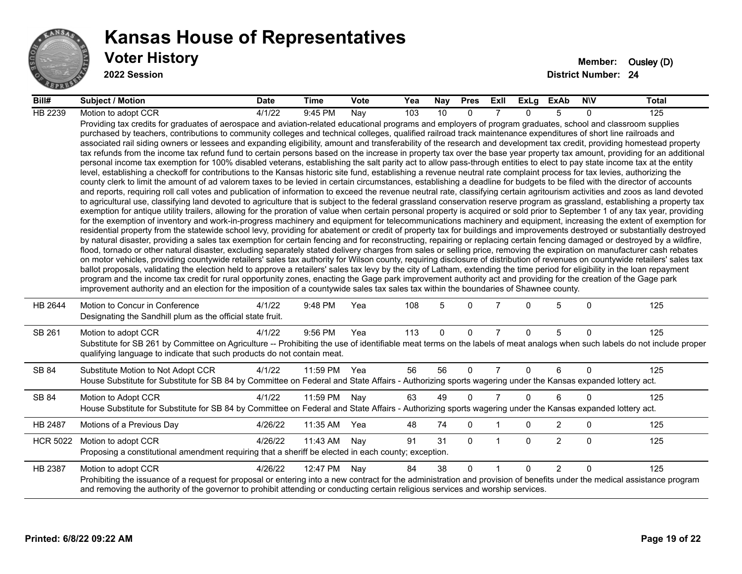

#### **Voter History Member:** Ousley (D) **Kansas House of Representatives**

| Bill#           | Subject / Motion                                                                                                                                                                                                                                                                                                                                                                                                                                                                                                                                                                                                                                                                                                                                                                                                                                                                                                                                                                                                                                                                                                                                                                                                                                                                                                                                                                                                                                                                                                                                                                                                                                                                                                                                                                                                                                                                                                                                                                                                                                                                                                                                                                                                                                                                                                                                                                                                                                                                                                                                                                                                                                                                                                                                                                                                                                                                                                                                                                                                                                                                                                                                                            | <b>Date</b>         | Time         | Vote | Yea | Nay         | <b>Pres</b> | ExII           |              | ExLg ExAb      | <b>NIV</b>     | Total |
|-----------------|-----------------------------------------------------------------------------------------------------------------------------------------------------------------------------------------------------------------------------------------------------------------------------------------------------------------------------------------------------------------------------------------------------------------------------------------------------------------------------------------------------------------------------------------------------------------------------------------------------------------------------------------------------------------------------------------------------------------------------------------------------------------------------------------------------------------------------------------------------------------------------------------------------------------------------------------------------------------------------------------------------------------------------------------------------------------------------------------------------------------------------------------------------------------------------------------------------------------------------------------------------------------------------------------------------------------------------------------------------------------------------------------------------------------------------------------------------------------------------------------------------------------------------------------------------------------------------------------------------------------------------------------------------------------------------------------------------------------------------------------------------------------------------------------------------------------------------------------------------------------------------------------------------------------------------------------------------------------------------------------------------------------------------------------------------------------------------------------------------------------------------------------------------------------------------------------------------------------------------------------------------------------------------------------------------------------------------------------------------------------------------------------------------------------------------------------------------------------------------------------------------------------------------------------------------------------------------------------------------------------------------------------------------------------------------------------------------------------------------------------------------------------------------------------------------------------------------------------------------------------------------------------------------------------------------------------------------------------------------------------------------------------------------------------------------------------------------------------------------------------------------------------------------------------------------|---------------------|--------------|------|-----|-------------|-------------|----------------|--------------|----------------|----------------|-------|
| HB 2239         | Motion to adopt CCR                                                                                                                                                                                                                                                                                                                                                                                                                                                                                                                                                                                                                                                                                                                                                                                                                                                                                                                                                                                                                                                                                                                                                                                                                                                                                                                                                                                                                                                                                                                                                                                                                                                                                                                                                                                                                                                                                                                                                                                                                                                                                                                                                                                                                                                                                                                                                                                                                                                                                                                                                                                                                                                                                                                                                                                                                                                                                                                                                                                                                                                                                                                                                         | $\frac{1}{4}$ /1/22 | 9:45 PM      | Nay  | 103 | 10          | $\Omega$    |                | $\Omega$     | 5              | $\Omega$       | 125   |
|                 | Providing tax credits for graduates of aerospace and aviation-related educational programs and employers of program graduates, school and classroom supplies<br>purchased by teachers, contributions to community colleges and technical colleges, qualified railroad track maintenance expenditures of short line railroads and<br>associated rail siding owners or lessees and expanding eligibility, amount and transferability of the research and development tax credit, providing homestead property<br>tax refunds from the income tax refund fund to certain persons based on the increase in property tax over the base year property tax amount, providing for an additional<br>personal income tax exemption for 100% disabled veterans, establishing the salt parity act to allow pass-through entities to elect to pay state income tax at the entity<br>level, establishing a checkoff for contributions to the Kansas historic site fund, establishing a revenue neutral rate complaint process for tax levies, authorizing the<br>county clerk to limit the amount of ad valorem taxes to be levied in certain circumstances, establishing a deadline for budgets to be filed with the director of accounts<br>and reports, requiring roll call votes and publication of information to exceed the revenue neutral rate, classifying certain agritourism activities and zoos as land devoted<br>to agricultural use, classifying land devoted to agriculture that is subject to the federal grassland conservation reserve program as grassland, establishing a property tax<br>exemption for antique utility trailers, allowing for the proration of value when certain personal property is acquired or sold prior to September 1 of any tax year, providing<br>for the exemption of inventory and work-in-progress machinery and equipment for telecommunications machinery and equipment, increasing the extent of exemption for<br>residential property from the statewide school levy, providing for abatement or credit of property tax for buildings and improvements destroyed or substantially destroyed<br>by natural disaster, providing a sales tax exemption for certain fencing and for reconstructing, repairing or replacing certain fencing damaged or destroyed by a wildfire,<br>flood, tornado or other natural disaster, excluding separately stated delivery charges from sales or selling price, removing the expiration on manufacturer cash rebates<br>on motor vehicles, providing countywide retailers' sales tax authority for Wilson county, requiring disclosure of distribution of revenues on countywide retailers' sales tax<br>ballot proposals, validating the election held to approve a retailers' sales tax levy by the city of Latham, extending the time period for eligibility in the loan repayment<br>program and the income tax credit for rural opportunity zones, enacting the Gage park improvement authority act and providing for the creation of the Gage park<br>improvement authority and an election for the imposition of a countywide sales tax sales tax within the boundaries of Shawnee county. |                     |              |      |     |             |             |                |              |                |                |       |
| HB 2644         | Motion to Concur in Conference<br>Designating the Sandhill plum as the official state fruit.                                                                                                                                                                                                                                                                                                                                                                                                                                                                                                                                                                                                                                                                                                                                                                                                                                                                                                                                                                                                                                                                                                                                                                                                                                                                                                                                                                                                                                                                                                                                                                                                                                                                                                                                                                                                                                                                                                                                                                                                                                                                                                                                                                                                                                                                                                                                                                                                                                                                                                                                                                                                                                                                                                                                                                                                                                                                                                                                                                                                                                                                                | 4/1/22              | 9:48 PM      | Yea  | 108 | 5           | $\Omega$    |                | $\Omega$     | 5              | $\Omega$       | 125   |
| SB 261          | Motion to adopt CCR<br>Substitute for SB 261 by Committee on Agriculture -- Prohibiting the use of identifiable meat terms on the labels of meat analogs when such labels do not include proper<br>qualifying language to indicate that such products do not contain meat.                                                                                                                                                                                                                                                                                                                                                                                                                                                                                                                                                                                                                                                                                                                                                                                                                                                                                                                                                                                                                                                                                                                                                                                                                                                                                                                                                                                                                                                                                                                                                                                                                                                                                                                                                                                                                                                                                                                                                                                                                                                                                                                                                                                                                                                                                                                                                                                                                                                                                                                                                                                                                                                                                                                                                                                                                                                                                                  | 4/1/22              | 9:56 PM      | Yea  | 113 | $\mathbf 0$ | $\mathbf 0$ | $\overline{7}$ | $\Omega$     | 5              | $\overline{0}$ | 125   |
| SB 84           | Substitute Motion to Not Adopt CCR<br>House Substitute for Substitute for SB 84 by Committee on Federal and State Affairs - Authorizing sports wagering under the Kansas expanded lottery act.                                                                                                                                                                                                                                                                                                                                                                                                                                                                                                                                                                                                                                                                                                                                                                                                                                                                                                                                                                                                                                                                                                                                                                                                                                                                                                                                                                                                                                                                                                                                                                                                                                                                                                                                                                                                                                                                                                                                                                                                                                                                                                                                                                                                                                                                                                                                                                                                                                                                                                                                                                                                                                                                                                                                                                                                                                                                                                                                                                              | 4/1/22              | 11:59 PM Yea |      | 56  | 56          | $\Omega$    | $\overline{7}$ | 0            | 6              | $\mathbf{0}$   | 125   |
| SB 84           | Motion to Adopt CCR<br>House Substitute for Substitute for SB 84 by Committee on Federal and State Affairs - Authorizing sports wagering under the Kansas expanded lottery act.                                                                                                                                                                                                                                                                                                                                                                                                                                                                                                                                                                                                                                                                                                                                                                                                                                                                                                                                                                                                                                                                                                                                                                                                                                                                                                                                                                                                                                                                                                                                                                                                                                                                                                                                                                                                                                                                                                                                                                                                                                                                                                                                                                                                                                                                                                                                                                                                                                                                                                                                                                                                                                                                                                                                                                                                                                                                                                                                                                                             | 4/1/22              | 11:59 PM     | Nay  | 63  | 49          | $\Omega$    | $\overline{7}$ | $\Omega$     | 6              | 0              | 125   |
| HB 2487         | Motions of a Previous Day                                                                                                                                                                                                                                                                                                                                                                                                                                                                                                                                                                                                                                                                                                                                                                                                                                                                                                                                                                                                                                                                                                                                                                                                                                                                                                                                                                                                                                                                                                                                                                                                                                                                                                                                                                                                                                                                                                                                                                                                                                                                                                                                                                                                                                                                                                                                                                                                                                                                                                                                                                                                                                                                                                                                                                                                                                                                                                                                                                                                                                                                                                                                                   | 4/26/22             | 11:35 AM     | Yea  | 48  | 74          | 0           |                | 0            | $\overline{c}$ | 0              | 125   |
| <b>HCR 5022</b> | Motion to adopt CCR<br>Proposing a constitutional amendment requiring that a sheriff be elected in each county; exception.                                                                                                                                                                                                                                                                                                                                                                                                                                                                                                                                                                                                                                                                                                                                                                                                                                                                                                                                                                                                                                                                                                                                                                                                                                                                                                                                                                                                                                                                                                                                                                                                                                                                                                                                                                                                                                                                                                                                                                                                                                                                                                                                                                                                                                                                                                                                                                                                                                                                                                                                                                                                                                                                                                                                                                                                                                                                                                                                                                                                                                                  | 4/26/22             | 11:43 AM     | Nay  | 91  | 31          | $\Omega$    | $\mathbf 1$    | $\mathbf{0}$ | 2              | $\Omega$       | 125   |
| HB 2387         | Motion to adopt CCR<br>Prohibiting the issuance of a request for proposal or entering into a new contract for the administration and provision of benefits under the medical assistance program<br>and removing the authority of the governor to prohibit attending or conducting certain religious services and worship services.                                                                                                                                                                                                                                                                                                                                                                                                                                                                                                                                                                                                                                                                                                                                                                                                                                                                                                                                                                                                                                                                                                                                                                                                                                                                                                                                                                                                                                                                                                                                                                                                                                                                                                                                                                                                                                                                                                                                                                                                                                                                                                                                                                                                                                                                                                                                                                                                                                                                                                                                                                                                                                                                                                                                                                                                                                          | 4/26/22             | 12:47 PM     | Nay  | 84  | 38          | $\Omega$    | 1              | $\Omega$     | 2              | $\Omega$       | 125   |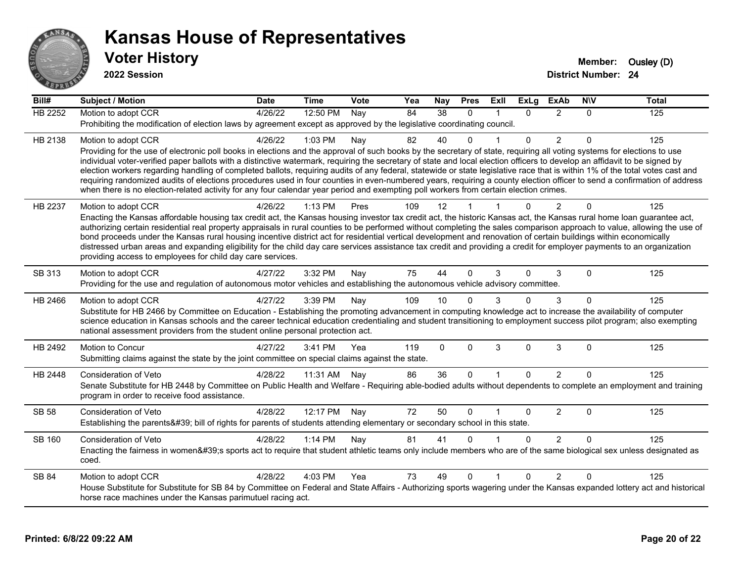

| Bill#          | <b>Subject / Motion</b>                                                                                                                                                                                                                                                                                                                                    | <b>Date</b> | <b>Time</b> | Vote | Yea | <b>Nay</b>      | <b>Pres</b>  | ExII         | <b>ExLg</b>  | <b>ExAb</b>    | <b>NIV</b> | <b>Total</b> |
|----------------|------------------------------------------------------------------------------------------------------------------------------------------------------------------------------------------------------------------------------------------------------------------------------------------------------------------------------------------------------------|-------------|-------------|------|-----|-----------------|--------------|--------------|--------------|----------------|------------|--------------|
| <b>HB 2252</b> | Motion to adopt CCR                                                                                                                                                                                                                                                                                                                                        | 4/26/22     | 12:50 PM    | Nay  | 84  | $\overline{38}$ | $\mathbf{0}$ |              | $\mathbf{0}$ | $\overline{2}$ | 0          | 125          |
|                | Prohibiting the modification of election laws by agreement except as approved by the legislative coordinating council.                                                                                                                                                                                                                                     |             |             |      |     |                 |              |              |              |                |            |              |
| HB 2138        | Motion to adopt CCR                                                                                                                                                                                                                                                                                                                                        | 4/26/22     | 1:03 PM     | Nay  | 82  | 40              | 0            |              | $\Omega$     | $\overline{2}$ | $\Omega$   | 125          |
|                | Providing for the use of electronic poll books in elections and the approval of such books by the secretary of state, requiring all voting systems for elections to use                                                                                                                                                                                    |             |             |      |     |                 |              |              |              |                |            |              |
|                | individual voter-verified paper ballots with a distinctive watermark, requiring the secretary of state and local election officers to develop an affidavit to be signed by<br>election workers regarding handling of completed ballots, requiring audits of any federal, statewide or state legislative race that is within 1% of the total votes cast and |             |             |      |     |                 |              |              |              |                |            |              |
|                | requiring randomized audits of elections procedures used in four counties in even-numbered years, requiring a county election officer to send a confirmation of address                                                                                                                                                                                    |             |             |      |     |                 |              |              |              |                |            |              |
|                | when there is no election-related activity for any four calendar year period and exempting poll workers from certain election crimes.                                                                                                                                                                                                                      |             |             |      |     |                 |              |              |              |                |            |              |
| HB 2237        | Motion to adopt CCR                                                                                                                                                                                                                                                                                                                                        | 4/26/22     | 1:13 PM     | Pres | 109 | 12              |              |              | $\Omega$     | $\overline{2}$ | $\Omega$   | 125          |
|                | Enacting the Kansas affordable housing tax credit act, the Kansas housing investor tax credit act, the historic Kansas act, the Kansas rural home loan guarantee act,                                                                                                                                                                                      |             |             |      |     |                 |              |              |              |                |            |              |
|                | authorizing certain residential real property appraisals in rural counties to be performed without completing the sales comparison approach to value, allowing the use of<br>bond proceeds under the Kansas rural housing incentive district act for residential vertical development and renovation of certain buildings within economically              |             |             |      |     |                 |              |              |              |                |            |              |
|                | distressed urban areas and expanding eligibility for the child day care services assistance tax credit and providing a credit for employer payments to an organization                                                                                                                                                                                     |             |             |      |     |                 |              |              |              |                |            |              |
|                | providing access to employees for child day care services.                                                                                                                                                                                                                                                                                                 |             |             |      |     |                 |              |              |              |                |            |              |
| SB 313         | Motion to adopt CCR                                                                                                                                                                                                                                                                                                                                        | 4/27/22     | 3:32 PM     | Nay  | 75  | 44              | $\Omega$     | 3            | $\Omega$     | 3              | $\Omega$   | 125          |
|                | Providing for the use and regulation of autonomous motor vehicles and establishing the autonomous vehicle advisory committee.                                                                                                                                                                                                                              |             |             |      |     |                 |              |              |              |                |            |              |
| HB 2466        | Motion to adopt CCR                                                                                                                                                                                                                                                                                                                                        | 4/27/22     | 3:39 PM     | Nay  | 109 | 10              | 0            |              | $\Omega$     | 3              | $\Omega$   | 125          |
|                | Substitute for HB 2466 by Committee on Education - Establishing the promoting advancement in computing knowledge act to increase the availability of computer                                                                                                                                                                                              |             |             |      |     |                 |              |              |              |                |            |              |
|                | science education in Kansas schools and the career technical education credentialing and student transitioning to employment success pilot program; also exempting<br>national assessment providers from the student online personal protection act.                                                                                                       |             |             |      |     |                 |              |              |              |                |            |              |
|                |                                                                                                                                                                                                                                                                                                                                                            |             |             |      |     |                 |              |              |              |                |            |              |
| HB 2492        | Motion to Concur<br>Submitting claims against the state by the joint committee on special claims against the state.                                                                                                                                                                                                                                        | 4/27/22     | 3:41 PM     | Yea  | 119 | $\mathbf 0$     | $\Omega$     | 3            | $\mathbf 0$  | 3              | $\Omega$   | 125          |
|                |                                                                                                                                                                                                                                                                                                                                                            |             |             |      |     |                 |              |              |              |                |            |              |
| HB 2448        | Consideration of Veto                                                                                                                                                                                                                                                                                                                                      | 4/28/22     | 11:31 AM    | Nay  | 86  | 36              | $\mathbf{0}$ | $\mathbf{1}$ | $\Omega$     | $\overline{2}$ | $\Omega$   | 125          |
|                | Senate Substitute for HB 2448 by Committee on Public Health and Welfare - Requiring able-bodied adults without dependents to complete an employment and training<br>program in order to receive food assistance.                                                                                                                                           |             |             |      |     |                 |              |              |              |                |            |              |
| <b>SB 58</b>   | <b>Consideration of Veto</b>                                                                                                                                                                                                                                                                                                                               | 4/28/22     | 12:17 PM    |      | 72  | 50              | $\Omega$     |              | $\Omega$     | $\overline{2}$ | $\Omega$   | 125          |
|                | Establishing the parents' bill of rights for parents of students attending elementary or secondary school in this state.                                                                                                                                                                                                                                   |             |             | Nay  |     |                 |              |              |              |                |            |              |
|                |                                                                                                                                                                                                                                                                                                                                                            |             |             |      |     |                 | U            |              |              |                | $\Omega$   |              |
| SB 160         | <b>Consideration of Veto</b><br>Enacting the fairness in women's sports act to require that student athletic teams only include members who are of the same biological sex unless designated as                                                                                                                                                            | 4/28/22     | 1:14 PM     | Nay  | 81  | 41              |              |              | $\Omega$     | $\overline{2}$ |            | 125          |
|                | coed.                                                                                                                                                                                                                                                                                                                                                      |             |             |      |     |                 |              |              |              |                |            |              |
| <b>SB 84</b>   | Motion to adopt CCR                                                                                                                                                                                                                                                                                                                                        | 4/28/22     | 4:03 PM     | Yea  | 73  | 49              | $\Omega$     | $\mathbf{1}$ | $\Omega$     | $\mathcal{P}$  | $\Omega$   | 125          |
|                | House Substitute for Substitute for SB 84 by Committee on Federal and State Affairs - Authorizing sports wagering under the Kansas expanded lottery act and historical                                                                                                                                                                                     |             |             |      |     |                 |              |              |              |                |            |              |
|                | horse race machines under the Kansas parimutuel racing act.                                                                                                                                                                                                                                                                                                |             |             |      |     |                 |              |              |              |                |            |              |
|                |                                                                                                                                                                                                                                                                                                                                                            |             |             |      |     |                 |              |              |              |                |            |              |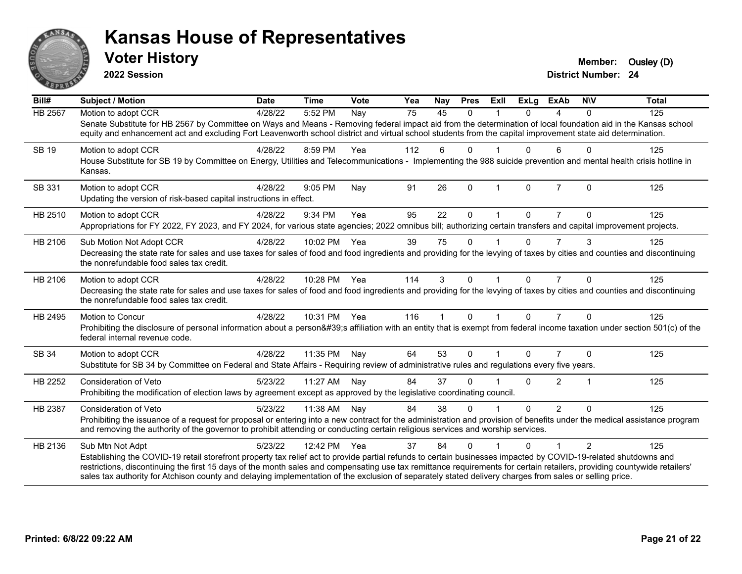

**2022 Session**

| Bill#          | Subject / Motion                                                                                                                                                                                                                                                                                                                                                                                                                                                                                                           | <b>Date</b> | <b>Time</b>  | Vote | Yea             | Nay          | <b>Pres</b>  | ExII         | <b>ExLg</b>  | ExAb           | <b>NIV</b>    | <b>Total</b> |
|----------------|----------------------------------------------------------------------------------------------------------------------------------------------------------------------------------------------------------------------------------------------------------------------------------------------------------------------------------------------------------------------------------------------------------------------------------------------------------------------------------------------------------------------------|-------------|--------------|------|-----------------|--------------|--------------|--------------|--------------|----------------|---------------|--------------|
| <b>HB 2567</b> | Motion to adopt CCR<br>Senate Substitute for HB 2567 by Committee on Ways and Means - Removing federal impact aid from the determination of local foundation aid in the Kansas school<br>equity and enhancement act and excluding Fort Leavenworth school district and virtual school students from the capital improvement state aid determination.                                                                                                                                                                       | 4/28/22     | 5:52 PM      | Nay  | $\overline{75}$ | 45           | $\Omega$     |              | $\Omega$     | 4              | $\Omega$      | 125          |
| <b>SB 19</b>   | Motion to adopt CCR<br>House Substitute for SB 19 by Committee on Energy, Utilities and Telecommunications - Implementing the 988 suicide prevention and mental health crisis hotline in<br>Kansas.                                                                                                                                                                                                                                                                                                                        | 4/28/22     | 8:59 PM      | Yea  | 112             | 6            | $\Omega$     |              | $\Omega$     | 6              | $\Omega$      | 125          |
| SB 331         | Motion to adopt CCR<br>Updating the version of risk-based capital instructions in effect.                                                                                                                                                                                                                                                                                                                                                                                                                                  | 4/28/22     | 9:05 PM      | Nay  | 91              | 26           | $\Omega$     | $\mathbf 1$  | $\mathbf{0}$ | $\overline{7}$ | $\Omega$      | 125          |
| HB 2510        | Motion to adopt CCR<br>Appropriations for FY 2022, FY 2023, and FY 2024, for various state agencies; 2022 omnibus bill; authorizing certain transfers and capital improvement projects.                                                                                                                                                                                                                                                                                                                                    | 4/28/22     | 9:34 PM      | Yea  | 95              | 22           | $\mathbf{0}$ |              | $\Omega$     | $\overline{7}$ | $\Omega$      | 125          |
| HB 2106        | Sub Motion Not Adopt CCR<br>Decreasing the state rate for sales and use taxes for sales of food and food ingredients and providing for the levying of taxes by cities and counties and discontinuing<br>the nonrefundable food sales tax credit.                                                                                                                                                                                                                                                                           | 4/28/22     | 10:02 PM     | Yea  | 39              | 75           | $\Omega$     |              | $\Omega$     | $\overline{7}$ | 3             | 125          |
| HB 2106        | Motion to adopt CCR<br>Decreasing the state rate for sales and use taxes for sales of food and food ingredients and providing for the levying of taxes by cities and counties and discontinuing<br>the nonrefundable food sales tax credit.                                                                                                                                                                                                                                                                                | 4/28/22     | 10:28 PM Yea |      | 114             | 3            | $\Omega$     |              | $\Omega$     | $\overline{7}$ | $\Omega$      | 125          |
| HB 2495        | Motion to Concur<br>Prohibiting the disclosure of personal information about a person's affiliation with an entity that is exempt from federal income taxation under section 501(c) of the<br>federal internal revenue code.                                                                                                                                                                                                                                                                                               | 4/28/22     | 10:31 PM Yea |      | 116             | $\mathbf{1}$ | $\Omega$     | $\mathbf{1}$ | $\Omega$     | $\overline{7}$ | $\Omega$      | 125          |
| SB 34          | Motion to adopt CCR<br>Substitute for SB 34 by Committee on Federal and State Affairs - Requiring review of administrative rules and regulations every five years.                                                                                                                                                                                                                                                                                                                                                         | 4/28/22     | 11:35 PM     | Nay  | 64              | 53           | $\mathbf{0}$ |              | $\Omega$     | $\overline{7}$ | $\Omega$      | 125          |
| HB 2252        | <b>Consideration of Veto</b><br>Prohibiting the modification of election laws by agreement except as approved by the legislative coordinating council.                                                                                                                                                                                                                                                                                                                                                                     | 5/23/22     | 11:27 AM     | Nav  | 84              | 37           | $\Omega$     |              | 0            | $\overline{2}$ | 1             | 125          |
| HB 2387        | <b>Consideration of Veto</b><br>Prohibiting the issuance of a request for proposal or entering into a new contract for the administration and provision of benefits under the medical assistance program<br>and removing the authority of the governor to prohibit attending or conducting certain religious services and worship services.                                                                                                                                                                                | 5/23/22     | 11:38 AM     | Nay  | 84              | 38           | $\Omega$     |              | $\Omega$     | $\overline{2}$ | $\Omega$      | 125          |
| HB 2136        | Sub Mtn Not Adpt<br>Establishing the COVID-19 retail storefront property tax relief act to provide partial refunds to certain businesses impacted by COVID-19-related shutdowns and<br>restrictions, discontinuing the first 15 days of the month sales and compensating use tax remittance requirements for certain retailers, providing countywide retailers'<br>sales tax authority for Atchison county and delaying implementation of the exclusion of separately stated delivery charges from sales or selling price. | 5/23/22     | 12:42 PM     | Yea  | 37              | 84           | $\Omega$     |              | 0            |                | $\mathcal{P}$ | 125          |